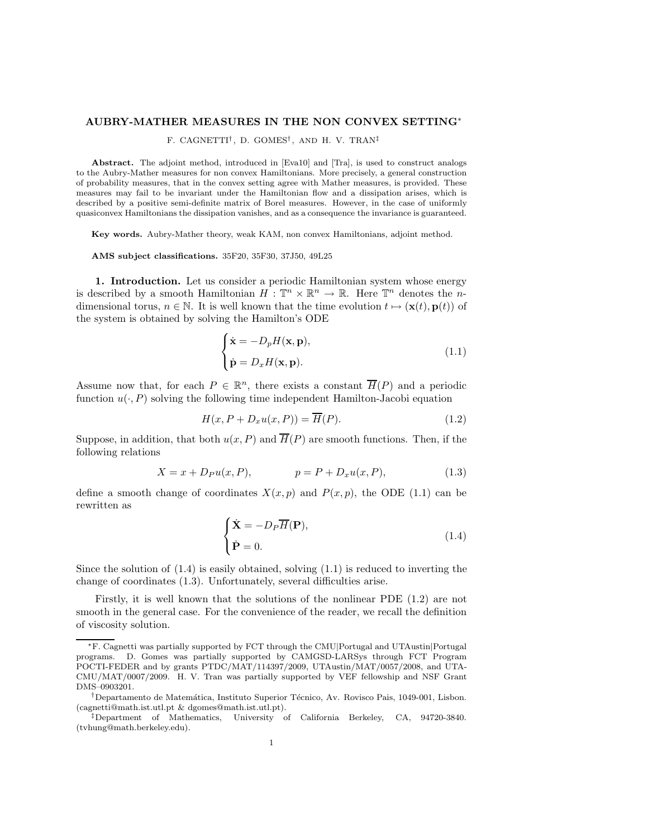## AUBRY-MATHER MEASURES IN THE NON CONVEX SETTING∗

F. CAGNETTI† , D. GOMES† , AND H. V. TRAN‡

Abstract. The adjoint method, introduced in [Eva10] and [Tra], is used to construct analogs to the Aubry-Mather measures for non convex Hamiltonians. More precisely, a general construction of probability measures, that in the convex setting agree with Mather measures, is provided. These measures may fail to be invariant under the Hamiltonian flow and a dissipation arises, which is described by a positive semi-definite matrix of Borel measures. However, in the case of uniformly quasiconvex Hamiltonians the dissipation vanishes, and as a consequence the invariance is guaranteed.

Key words. Aubry-Mather theory, weak KAM, non convex Hamiltonians, adjoint method.

AMS subject classifications. 35F20, 35F30, 37J50, 49L25

1. Introduction. Let us consider a periodic Hamiltonian system whose energy is described by a smooth Hamiltonian  $H: \mathbb{T}^n \times \mathbb{R}^n \to \mathbb{R}$ . Here  $\mathbb{T}^n$  denotes the *n*dimensional torus,  $n \in \mathbb{N}$ . It is well known that the time evolution  $t \mapsto (\mathbf{x}(t), \mathbf{p}(t))$  of the system is obtained by solving the Hamilton's ODE

$$
\begin{cases} \dot{\mathbf{x}} = -D_p H(\mathbf{x}, \mathbf{p}), \\ \dot{\mathbf{p}} = D_x H(\mathbf{x}, \mathbf{p}). \end{cases}
$$
 (1.1)

Assume now that, for each  $P \in \mathbb{R}^n$ , there exists a constant  $\overline{H}(P)$  and a periodic function  $u(\cdot, P)$  solving the following time independent Hamilton-Jacobi equation

$$
H(x, P + D_x u(x, P)) = \overline{H}(P).
$$
\n(1.2)

Suppose, in addition, that both  $u(x, P)$  and  $\overline{H}(P)$  are smooth functions. Then, if the following relations

$$
X = x + D_P u(x, P), \t\t p = P + D_x u(x, P), \t\t (1.3)
$$

define a smooth change of coordinates  $X(x, p)$  and  $P(x, p)$ , the ODE (1.1) can be rewritten as

$$
\begin{cases} \dot{\mathbf{X}} = -D_P \overline{H}(\mathbf{P}), \\ \dot{\mathbf{P}} = 0. \end{cases}
$$
\n(1.4)

Since the solution of  $(1.4)$  is easily obtained, solving  $(1.1)$  is reduced to inverting the change of coordinates (1.3). Unfortunately, several difficulties arise.

Firstly, it is well known that the solutions of the nonlinear PDE (1.2) are not smooth in the general case. For the convenience of the reader, we recall the definition of viscosity solution.

<sup>∗</sup>F. Cagnetti was partially supported by FCT through the CMU|Portugal and UTAustin|Portugal programs. D. Gomes was partially supported by CAMGSD-LARSys through FCT Program POCTI-FEDER and by grants PTDC/MAT/114397/2009, UTAustin/MAT/0057/2008, and UTA-CMU/MAT/0007/2009. H. V. Tran was partially supported by VEF fellowship and NSF Grant DMS–0903201.

<sup>&</sup>lt;sup>†</sup>Departamento de Matemática, Instituto Superior Técnico, Av. Rovisco Pais, 1049-001, Lisbon. (cagnetti@math.ist.utl.pt & dgomes@math.ist.utl.pt).

<sup>‡</sup>Department of Mathematics, University of California Berkeley, CA, 94720-3840. (tvhung@math.berkeley.edu).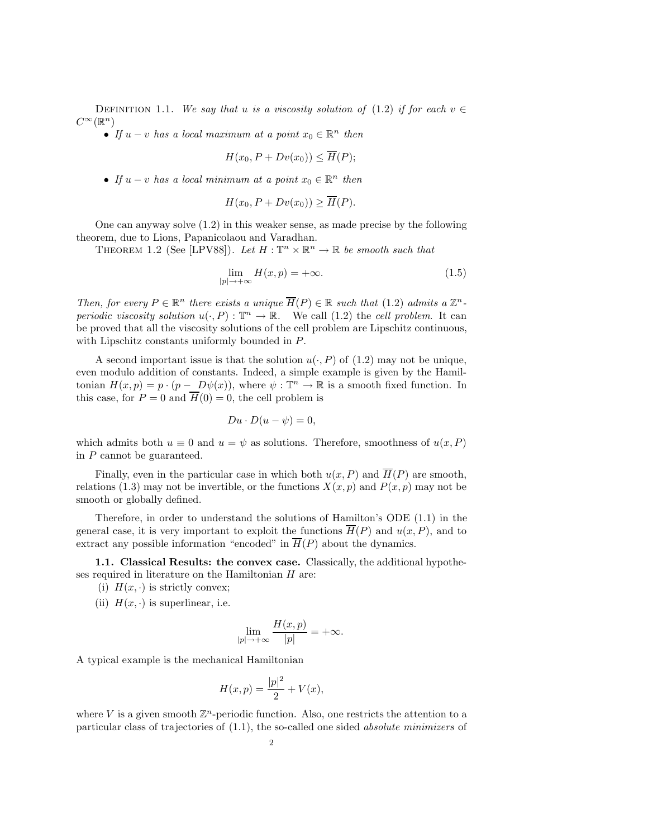DEFINITION 1.1. We say that u is a viscosity solution of (1.2) if for each  $v \in$  $C^{\infty}(\mathbb{R}^n)$ 

• If  $u - v$  has a local maximum at a point  $x_0 \in \mathbb{R}^n$  then

$$
H(x_0, P + Dv(x_0)) \le \overline{H}(P);
$$

• If  $u - v$  has a local minimum at a point  $x_0 \in \mathbb{R}^n$  then

$$
H(x_0, P + Dv(x_0)) \ge \overline{H}(P).
$$

One can anyway solve (1.2) in this weaker sense, as made precise by the following theorem, due to Lions, Papanicolaou and Varadhan.

THEOREM 1.2 (See [LPV88]). Let  $H : \mathbb{T}^n \times \mathbb{R}^n \to \mathbb{R}$  be smooth such that

$$
\lim_{|p| \to +\infty} H(x, p) = +\infty. \tag{1.5}
$$

Then, for every  $P \in \mathbb{R}^n$  there exists a unique  $\overline{H}(P) \in \mathbb{R}$  such that (1.2) admits a  $\mathbb{Z}^n$ periodic viscosity solution  $u(\cdot, P) : \mathbb{T}^n \to \mathbb{R}$ . We call (1.2) the cell problem. It can be proved that all the viscosity solutions of the cell problem are Lipschitz continuous, with Lipschitz constants uniformly bounded in P.

A second important issue is that the solution  $u(\cdot, P)$  of (1.2) may not be unique, even modulo addition of constants. Indeed, a simple example is given by the Hamiltonian  $H(x, p) = p \cdot (p - D\psi(x))$ , where  $\psi : \mathbb{T}^n \to \mathbb{R}$  is a smooth fixed function. In this case, for  $P = 0$  and  $\overline{H}(0) = 0$ , the cell problem is

$$
Du\cdot D(u-\psi)=0,
$$

which admits both  $u \equiv 0$  and  $u = \psi$  as solutions. Therefore, smoothness of  $u(x, P)$ in P cannot be guaranteed.

Finally, even in the particular case in which both  $u(x, P)$  and  $\overline{H}(P)$  are smooth, relations (1.3) may not be invertible, or the functions  $X(x, p)$  and  $P(x, p)$  may not be smooth or globally defined.

Therefore, in order to understand the solutions of Hamilton's ODE (1.1) in the general case, it is very important to exploit the functions  $\overline{H}(P)$  and  $u(x, P)$ , and to extract any possible information "encoded" in  $\overline{H}(P)$  about the dynamics.

1.1. Classical Results: the convex case. Classically, the additional hypotheses required in literature on the Hamiltonian  $H$  are:

- (i)  $H(x, \cdot)$  is strictly convex;
- (ii)  $H(x, \cdot)$  is superlinear, i.e.

$$
\lim_{|p| \to +\infty} \frac{H(x,p)}{|p|} = +\infty.
$$

A typical example is the mechanical Hamiltonian

$$
H(x, p) = \frac{|p|^2}{2} + V(x),
$$

where V is a given smooth  $\mathbb{Z}^n$ -periodic function. Also, one restricts the attention to a particular class of trajectories of (1.1), the so-called one sided absolute minimizers of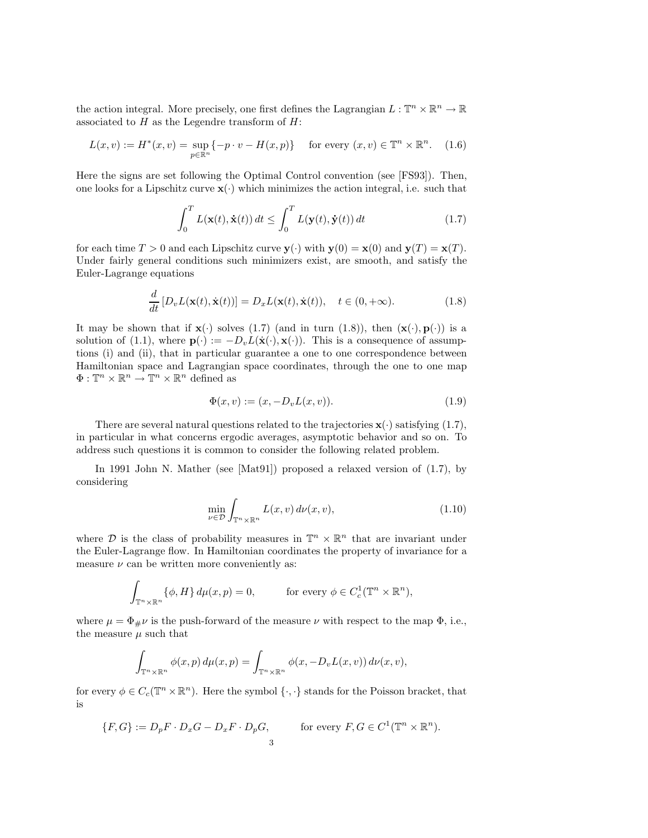the action integral. More precisely, one first defines the Lagrangian  $L : \mathbb{T}^n \times \mathbb{R}^n \to \mathbb{R}$ associated to  $H$  as the Legendre transform of  $H$ :

$$
L(x,v) := H^*(x,v) = \sup_{p \in \mathbb{R}^n} \{-p \cdot v - H(x,p)\} \quad \text{for every } (x,v) \in \mathbb{T}^n \times \mathbb{R}^n. \tag{1.6}
$$

Here the signs are set following the Optimal Control convention (see [FS93]). Then, one looks for a Lipschitz curve  $\mathbf{x}(\cdot)$  which minimizes the action integral, i.e. such that

$$
\int_0^T L(\mathbf{x}(t), \dot{\mathbf{x}}(t)) dt \le \int_0^T L(\mathbf{y}(t), \dot{\mathbf{y}}(t)) dt
$$
\n(1.7)

for each time  $T > 0$  and each Lipschitz curve  $y(\cdot)$  with  $y(0) = x(0)$  and  $y(T) = x(T)$ . Under fairly general conditions such minimizers exist, are smooth, and satisfy the Euler-Lagrange equations

$$
\frac{d}{dt}\left[D_v L(\mathbf{x}(t), \dot{\mathbf{x}}(t))\right] = D_x L(\mathbf{x}(t), \dot{\mathbf{x}}(t)), \quad t \in (0, +\infty).
$$
\n(1.8)

It may be shown that if  $\mathbf{x}(\cdot)$  solves (1.7) (and in turn (1.8)), then  $(\mathbf{x}(\cdot), \mathbf{p}(\cdot))$  is a solution of (1.1), where  $\mathbf{p}(\cdot) := -D_v L(\dot{\mathbf{x}}(\cdot), \mathbf{x}(\cdot))$ . This is a consequence of assumptions (i) and (ii), that in particular guarantee a one to one correspondence between Hamiltonian space and Lagrangian space coordinates, through the one to one map  $\Phi: \mathbb{T}^n \times \mathbb{R}^n \to \mathbb{T}^n \times \mathbb{R}^n$  defined as

$$
\Phi(x, v) := (x, -D_v L(x, v)).
$$
\n(1.9)

There are several natural questions related to the trajectories  $\mathbf{x}(\cdot)$  satisfying (1.7), in particular in what concerns ergodic averages, asymptotic behavior and so on. To address such questions it is common to consider the following related problem.

In 1991 John N. Mather (see [Mat91]) proposed a relaxed version of (1.7), by considering

$$
\min_{\nu \in \mathcal{D}} \int_{\mathbb{T}^n \times \mathbb{R}^n} L(x, v) \, d\nu(x, v), \tag{1.10}
$$

where D is the class of probability measures in  $\mathbb{T}^n \times \mathbb{R}^n$  that are invariant under the Euler-Lagrange flow. In Hamiltonian coordinates the property of invariance for a measure  $\nu$  can be written more conveniently as:

$$
\int_{\mathbb{T}^n \times \mathbb{R}^n} {\{\phi, H\} \, d\mu(x, p) = 0, \qquad \text{for every } \phi \in C_c^1(\mathbb{T}^n \times \mathbb{R}^n),
$$

where  $\mu = \Phi_{\mu} \nu$  is the push-forward of the measure  $\nu$  with respect to the map  $\Phi$ , i.e., the measure  $\mu$  such that

$$
\int_{\mathbb{T}^n\times\mathbb{R}^n}\phi(x,p)\,d\mu(x,p)=\int_{\mathbb{T}^n\times\mathbb{R}^n}\phi(x,-D_vL(x,v))\,d\nu(x,v),
$$

for every  $\phi \in C_c(\mathbb{T}^n \times \mathbb{R}^n)$ . Here the symbol  $\{\cdot,\cdot\}$  stands for the Poisson bracket, that is

$$
\{F, G\} := D_p F \cdot D_x G - D_x F \cdot D_p G, \qquad \text{for every } F, G \in C^1(\mathbb{T}^n \times \mathbb{R}^n).
$$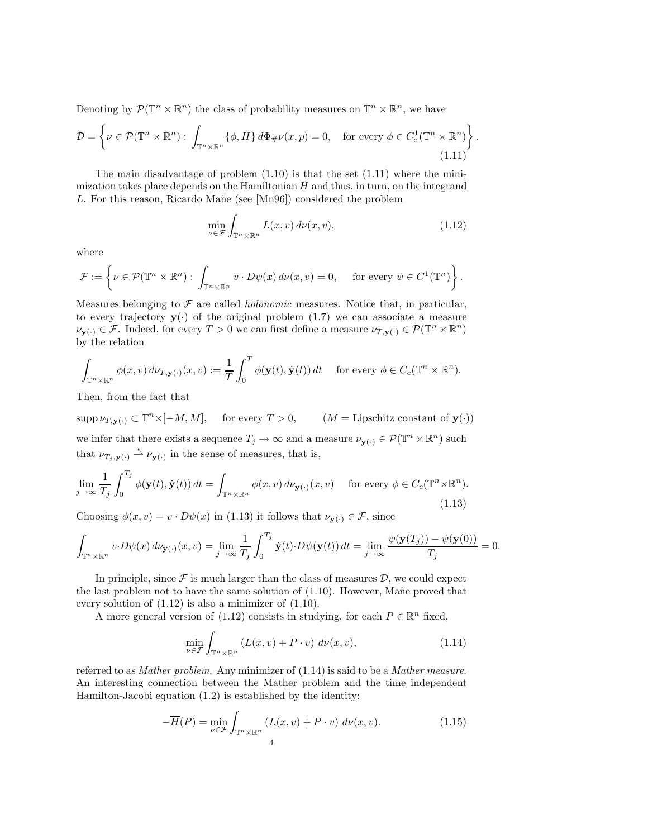Denoting by  $\mathcal{P}(\mathbb{T}^n \times \mathbb{R}^n)$  the class of probability measures on  $\mathbb{T}^n \times \mathbb{R}^n$ , we have

$$
\mathcal{D} = \left\{ \nu \in \mathcal{P}(\mathbb{T}^n \times \mathbb{R}^n) : \int_{\mathbb{T}^n \times \mathbb{R}^n} \{ \phi, H \} d\Phi_{\#} \nu(x, p) = 0, \text{ for every } \phi \in C_c^1(\mathbb{T}^n \times \mathbb{R}^n) \right\}
$$
\n(1.11)

The main disadvantage of problem  $(1.10)$  is that the set  $(1.11)$  where the minimization takes place depends on the Hamiltonian  $H$  and thus, in turn, on the integrand L. For this reason, Ricardo Mañe (see  $[Mn96]$ ) considered the problem

$$
\min_{\nu \in \mathcal{F}} \int_{\mathbb{T}^n \times \mathbb{R}^n} L(x, v) \, d\nu(x, v), \tag{1.12}
$$

.

where

$$
\mathcal{F} := \left\{ \nu \in \mathcal{P}(\mathbb{T}^n \times \mathbb{R}^n) : \int_{\mathbb{T}^n \times \mathbb{R}^n} v \cdot D\psi(x) \, d\nu(x, v) = 0, \quad \text{ for every } \psi \in C^1(\mathbb{T}^n) \right\}.
$$

Measures belonging to  $\mathcal F$  are called *holonomic* measures. Notice that, in particular, to every trajectory  $y(\cdot)$  of the original problem (1.7) we can associate a measure  $\nu_{\mathbf{y}(\cdot)} \in \mathcal{F}$ . Indeed, for every  $T > 0$  we can first define a measure  $\nu_{T,\mathbf{y}(\cdot)} \in \mathcal{P}(\mathbb{T}^n \times \mathbb{R}^n)$ by the relation

$$
\int_{\mathbb{T}^n \times \mathbb{R}^n} \phi(x, v) d\nu_{T, \mathbf{y}(\cdot)}(x, v) := \frac{1}{T} \int_0^T \phi(\mathbf{y}(t), \dot{\mathbf{y}}(t)) dt \quad \text{ for every } \phi \in C_c(\mathbb{T}^n \times \mathbb{R}^n).
$$

Then, from the fact that

 $\text{supp }\nu_{T,\mathbf{y}(\cdot)} \subset \mathbb{T}^n \times [-M, M], \quad \text{ for every } T > 0, \quad (M = \text{Lipschitz constant of } \mathbf{y}(\cdot))$ we infer that there exists a sequence  $T_j \to \infty$  and a measure  $\nu_{\mathbf{y}(\cdot)} \in \mathcal{P}(\mathbb{T}^n \times \mathbb{R}^n)$  such that  $\nu_{T_j, \mathbf{y}(\cdot)} \stackrel{*}{\rightharpoonup} \nu_{\mathbf{y}(\cdot)}$  in the sense of measures, that is,

$$
\lim_{j \to \infty} \frac{1}{T_j} \int_0^{T_j} \phi(\mathbf{y}(t), \dot{\mathbf{y}}(t)) dt = \int_{\mathbb{T}^n \times \mathbb{R}^n} \phi(x, v) d\nu_{\mathbf{y}(\cdot)}(x, v) \quad \text{for every } \phi \in C_c(\mathbb{T}^n \times \mathbb{R}^n).
$$
\n(1.13)

Choosing  $\phi(x, v) = v \cdot D\psi(x)$  in (1.13) it follows that  $\nu_{\mathbf{y}(\cdot)} \in \mathcal{F}$ , since

$$
\int_{\mathbb{T}^n \times \mathbb{R}^n} v \cdot D\psi(x) d\nu_{\mathbf{y}(\cdot)}(x, v) = \lim_{j \to \infty} \frac{1}{T_j} \int_0^{T_j} \dot{\mathbf{y}}(t) \cdot D\psi(\mathbf{y}(t)) dt = \lim_{j \to \infty} \frac{\psi(\mathbf{y}(T_j)) - \psi(\mathbf{y}(0))}{T_j} = 0.
$$

In principle, since  $\mathcal F$  is much larger than the class of measures  $\mathcal D$ , we could expect the last problem not to have the same solution of  $(1.10)$ . However, Mane proved that every solution of (1.12) is also a minimizer of (1.10).

A more general version of (1.12) consists in studying, for each  $P \in \mathbb{R}^n$  fixed,

$$
\min_{\nu \in \mathcal{F}} \int_{\mathbb{T}^n \times \mathbb{R}^n} \left( L(x, v) + P \cdot v \right) \, d\nu(x, v), \tag{1.14}
$$

referred to as Mather problem. Any minimizer of (1.14) is said to be a Mather measure. An interesting connection between the Mather problem and the time independent Hamilton-Jacobi equation (1.2) is established by the identity:

$$
-\overline{H}(P) = \min_{\nu \in \mathcal{F}} \int_{\mathbb{T}^n \times \mathbb{R}^n} \left( L(x, v) + P \cdot v \right) d\nu(x, v).
$$
 (1.15)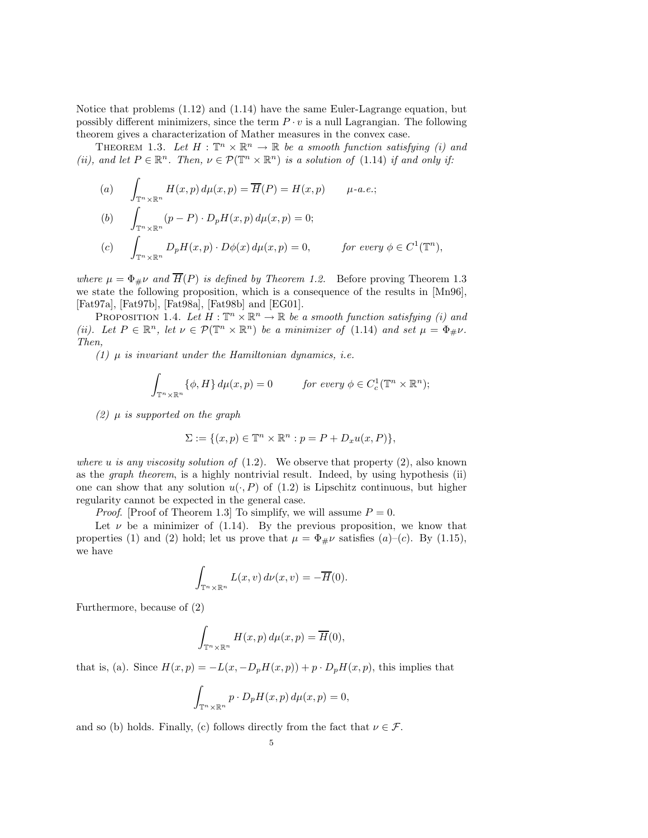Notice that problems (1.12) and (1.14) have the same Euler-Lagrange equation, but possibly different minimizers, since the term  $P \cdot v$  is a null Lagrangian. The following theorem gives a characterization of Mather measures in the convex case.

THEOREM 1.3. Let  $H : \mathbb{T}^n \times \mathbb{R}^n \to \mathbb{R}$  be a smooth function satisfying (i) and (ii), and let  $P \in \mathbb{R}^n$ . Then,  $\nu \in \mathcal{P}(\mathbb{T}^n \times \mathbb{R}^n)$  is a solution of (1.14) if and only if:

(a) 
$$
\int_{\mathbb{T}^n \times \mathbb{R}^n} H(x, p) d\mu(x, p) = \overline{H}(P) = H(x, p) \quad \mu \text{-}a.e.;
$$
  
\n(b) 
$$
\int_{\mathbb{T}^n \times \mathbb{R}^n} (p - P) \cdot D_p H(x, p) d\mu(x, p) = 0;
$$
  
\n(c) 
$$
\int_{\mathbb{T}^n \times \mathbb{R}^n} D_p H(x, p) \cdot D\phi(x) d\mu(x, p) = 0, \quad \text{for every } \phi \in C^1(\mathbb{T}^n),
$$

where  $\mu = \Phi_{\#}\nu$  and  $\overline{H}(P)$  is defined by Theorem 1.2. Before proving Theorem 1.3 we state the following proposition, which is a consequence of the results in [Mn96], [Fat97a], [Fat97b], [Fat98a], [Fat98b] and [EG01].

PROPOSITION 1.4. Let  $H : \mathbb{T}^n \times \mathbb{R}^n \to \mathbb{R}$  be a smooth function satisfying (i) and (ii). Let  $P \in \mathbb{R}^n$ , let  $\nu \in \mathcal{P}(\mathbb{T}^n \times \mathbb{R}^n)$  be a minimizer of (1.14) and set  $\mu = \Phi_{\#}\nu$ . Then,

(1)  $\mu$  is invariant under the Hamiltonian dynamics, i.e.

$$
\int_{\mathbb{T}^n \times \mathbb{R}^n} {\{\phi, H\} \, d\mu(x, p) = 0} \qquad \text{for every } \phi \in C_c^1(\mathbb{T}^n \times \mathbb{R}^n);
$$

(2)  $\mu$  is supported on the graph

$$
\Sigma := \{(x, p) \in \mathbb{T}^n \times \mathbb{R}^n : p = P + D_x u(x, P)\},\
$$

where u is any viscosity solution of  $(1.2)$ . We observe that property  $(2)$ , also known as the graph theorem, is a highly nontrivial result. Indeed, by using hypothesis (ii) one can show that any solution  $u(\cdot, P)$  of (1.2) is Lipschitz continuous, but higher regularity cannot be expected in the general case.

*Proof.* [Proof of Theorem 1.3] To simplify, we will assume  $P = 0$ .

Let  $\nu$  be a minimizer of (1.14). By the previous proposition, we know that properties (1) and (2) hold; let us prove that  $\mu = \Phi_{\#}\nu$  satisfies (a)–(c). By (1.15), we have

$$
\int_{\mathbb{T}^n \times \mathbb{R}^n} L(x, v) d\nu(x, v) = -\overline{H}(0).
$$

Furthermore, because of (2)

$$
\int_{\mathbb{T}^n \times \mathbb{R}^n} H(x, p) d\mu(x, p) = \overline{H}(0),
$$

that is, (a). Since  $H(x, p) = -L(x, -D_pH(x, p)) + p \cdot D_pH(x, p)$ , this implies that

$$
\int_{\mathbb{T}^n \times \mathbb{R}^n} p \cdot D_p H(x, p) d\mu(x, p) = 0,
$$

and so (b) holds. Finally, (c) follows directly from the fact that  $\nu \in \mathcal{F}$ .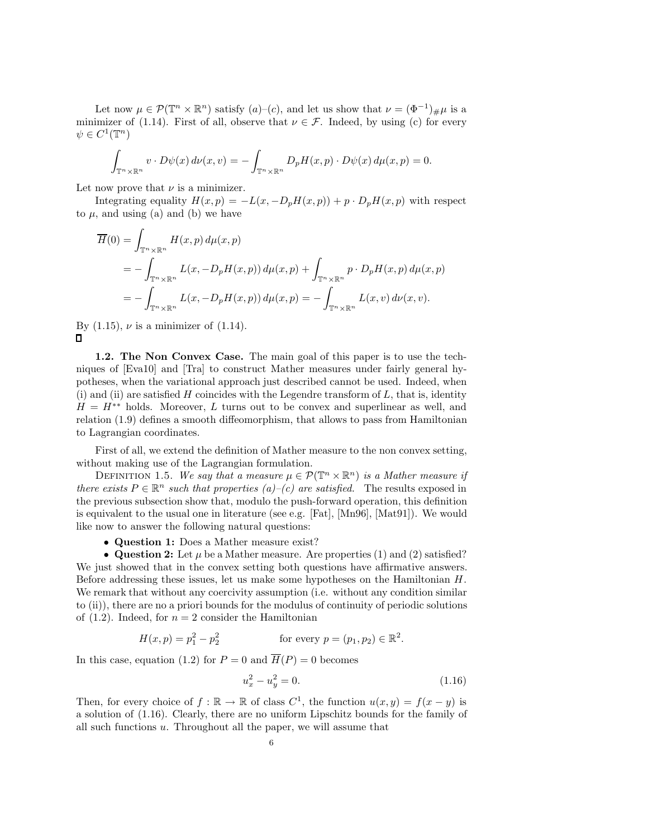Let now  $\mu \in \mathcal{P}(\mathbb{T}^n \times \mathbb{R}^n)$  satisfy  $(a)$ – $(c)$ , and let us show that  $\nu = (\Phi^{-1})_{\#}\mu$  is a minimizer of (1.14). First of all, observe that  $\nu \in \mathcal{F}$ . Indeed, by using (c) for every  $\psi \in C^1(\mathbb{T}^n)$ 

$$
\int_{\mathbb{T}^n \times \mathbb{R}^n} v \cdot D\psi(x) d\nu(x, v) = -\int_{\mathbb{T}^n \times \mathbb{R}^n} D_p H(x, p) \cdot D\psi(x) d\mu(x, p) = 0.
$$

Let now prove that  $\nu$  is a minimizer.

Integrating equality  $H(x, p) = -L(x, -D_pH(x, p)) + p \cdot D_pH(x, p)$  with respect to  $\mu$ , and using (a) and (b) we have

$$
\overline{H}(0) = \int_{\mathbb{T}^n \times \mathbb{R}^n} H(x, p) d\mu(x, p)
$$
  
= 
$$
- \int_{\mathbb{T}^n \times \mathbb{R}^n} L(x, -D_p H(x, p)) d\mu(x, p) + \int_{\mathbb{T}^n \times \mathbb{R}^n} p \cdot D_p H(x, p) d\mu(x, p)
$$
  
= 
$$
- \int_{\mathbb{T}^n \times \mathbb{R}^n} L(x, -D_p H(x, p)) d\mu(x, p) = - \int_{\mathbb{T}^n \times \mathbb{R}^n} L(x, v) d\nu(x, v).
$$

By  $(1.15)$ ,  $\nu$  is a minimizer of  $(1.14)$ .  $\mathbf{\Pi}$ 

1.2. The Non Convex Case. The main goal of this paper is to use the techniques of [Eva10] and [Tra] to construct Mather measures under fairly general hypotheses, when the variational approach just described cannot be used. Indeed, when (i) and (ii) are satisfied  $H$  coincides with the Legendre transform of  $L$ , that is, identity  $H = H^{**}$  holds. Moreover, L turns out to be convex and superlinear as well, and relation (1.9) defines a smooth diffeomorphism, that allows to pass from Hamiltonian to Lagrangian coordinates.

First of all, we extend the definition of Mather measure to the non convex setting, without making use of the Lagrangian formulation.

DEFINITION 1.5. We say that a measure  $\mu \in \mathcal{P}(\mathbb{T}^n \times \mathbb{R}^n)$  is a Mather measure if there exists  $P \in \mathbb{R}^n$  such that properties  $(a)$ – $(c)$  are satisfied. The results exposed in the previous subsection show that, modulo the push-forward operation, this definition is equivalent to the usual one in literature (see e.g. [Fat], [Mn96], [Mat91]). We would like now to answer the following natural questions:

• Question 1: Does a Mather measure exist?

• Question 2: Let  $\mu$  be a Mather measure. Are properties (1) and (2) satisfied? We just showed that in the convex setting both questions have affirmative answers. Before addressing these issues, let us make some hypotheses on the Hamiltonian H. We remark that without any coercivity assumption (i.e. without any condition similar to (ii)), there are no a priori bounds for the modulus of continuity of periodic solutions of  $(1.2)$ . Indeed, for  $n = 2$  consider the Hamiltonian

$$
H(x, p) = p_1^2 - p_2^2 \qquad \text{for every } p = (p_1, p_2) \in \mathbb{R}^2.
$$

In this case, equation (1.2) for  $P = 0$  and  $\overline{H}(P) = 0$  becomes

$$
u_x^2 - u_y^2 = 0.\t\t(1.16)
$$

Then, for every choice of  $f : \mathbb{R} \to \mathbb{R}$  of class  $C^1$ , the function  $u(x, y) = f(x - y)$  is a solution of (1.16). Clearly, there are no uniform Lipschitz bounds for the family of all such functions u. Throughout all the paper, we will assume that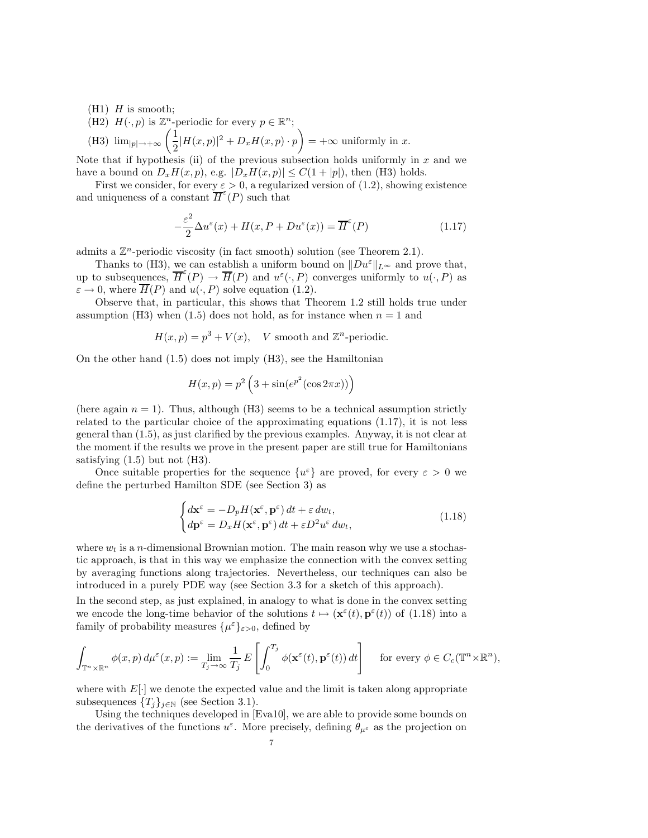- $(H1)$  H is smooth;
- (H2)  $H(\cdot, p)$  is  $\mathbb{Z}^n$ -periodic for every  $p \in \mathbb{R}^n$ ;

(H3) 
$$
\lim_{|p| \to +\infty} \left( \frac{1}{2} |H(x,p)|^2 + D_x H(x,p) \cdot p \right) = +\infty
$$
 uniformly in x.

Note that if hypothesis (ii) of the previous subsection holds uniformly in  $x$  and we have a bound on  $D_xH(x, p)$ , e.g.  $|D_xH(x, p)| \leq C(1+|p|)$ , then (H3) holds.

First we consider, for every  $\varepsilon > 0$ , a regularized version of (1.2), showing existence and uniqueness of a constant  $\overline{H}^{\varepsilon}(P)$  such that

$$
-\frac{\varepsilon^2}{2}\Delta u^{\varepsilon}(x) + H(x, P + Du^{\varepsilon}(x)) = \overline{H}^{\varepsilon}(P)
$$
\n(1.17)

admits a  $\mathbb{Z}^n$ -periodic viscosity (in fact smooth) solution (see Theorem 2.1).

Thanks to (H3), we can establish a uniform bound on  $||Du^{\varepsilon}||_{L^{\infty}}$  and prove that, up to subsequences,  $\overline{H}^{\varepsilon}(P) \to \overline{H}(P)$  and  $u^{\varepsilon}(\cdot, P)$  converges uniformly to  $u(\cdot, P)$  as  $\varepsilon \to 0$ , where  $\overline{H}(P)$  and  $u(\cdot, P)$  solve equation (1.2).

Observe that, in particular, this shows that Theorem 1.2 still holds true under assumption (H3) when (1.5) does not hold, as for instance when  $n = 1$  and

$$
H(x, p) = p3 + V(x), \quad V \text{ smooth and } \mathbb{Z}^n\text{-periodic}.
$$

On the other hand (1.5) does not imply (H3), see the Hamiltonian

$$
H(x,p) = p^2 \left(3 + \sin(e^{p^2}(\cos 2\pi x))\right)
$$

(here again  $n = 1$ ). Thus, although (H3) seems to be a technical assumption strictly related to the particular choice of the approximating equations (1.17), it is not less general than (1.5), as just clarified by the previous examples. Anyway, it is not clear at the moment if the results we prove in the present paper are still true for Hamiltonians satisfying  $(1.5)$  but not  $(H3)$ .

Once suitable properties for the sequence  $\{u^{\varepsilon}\}\$ are proved, for every  $\varepsilon > 0$  we define the perturbed Hamilton SDE (see Section 3) as

$$
\begin{cases} d\mathbf{x}^{\varepsilon} = -D_p H(\mathbf{x}^{\varepsilon}, \mathbf{p}^{\varepsilon}) dt + \varepsilon dw_t, \\ d\mathbf{p}^{\varepsilon} = D_x H(\mathbf{x}^{\varepsilon}, \mathbf{p}^{\varepsilon}) dt + \varepsilon D^2 u^{\varepsilon} dw_t, \end{cases}
$$
(1.18)

where  $w_t$  is a n-dimensional Brownian motion. The main reason why we use a stochastic approach, is that in this way we emphasize the connection with the convex setting by averaging functions along trajectories. Nevertheless, our techniques can also be introduced in a purely PDE way (see Section 3.3 for a sketch of this approach).

In the second step, as just explained, in analogy to what is done in the convex setting we encode the long-time behavior of the solutions  $t \mapsto (\mathbf{x}^{\varepsilon}(t), \mathbf{p}^{\varepsilon}(t))$  of (1.18) into a family of probability measures  $\{\mu^{\varepsilon}\}_{\varepsilon>0}$ , defined by

$$
\int_{\mathbb{T}^n \times \mathbb{R}^n} \phi(x, p) d\mu^{\varepsilon}(x, p) := \lim_{T_j \to \infty} \frac{1}{T_j} E\left[\int_0^{T_j} \phi(\mathbf{x}^{\varepsilon}(t), \mathbf{p}^{\varepsilon}(t)) dt\right] \quad \text{ for every } \phi \in C_c(\mathbb{T}^n \times \mathbb{R}^n),
$$

where with  $E[\cdot]$  we denote the expected value and the limit is taken along appropriate subsequences  ${T_j}_{j \in \mathbb{N}}$  (see Section 3.1).

Using the techniques developed in [Eva10], we are able to provide some bounds on the derivatives of the functions  $u^{\varepsilon}$ . More precisely, defining  $\theta_{\mu^{\varepsilon}}$  as the projection on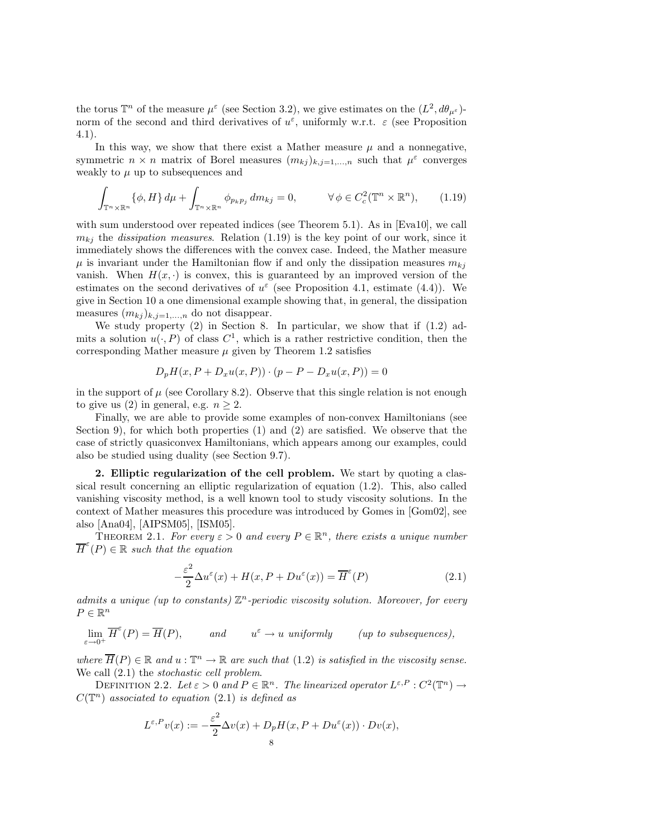the torus  $\mathbb{T}^n$  of the measure  $\mu^{\varepsilon}$  (see Section 3.2), we give estimates on the  $(L^2, d\theta_{\mu^{\varepsilon}})$ norm of the second and third derivatives of  $u^{\varepsilon}$ , uniformly w.r.t.  $\varepsilon$  (see Proposition 4.1).

In this way, we show that there exist a Mather measure  $\mu$  and a nonnegative, symmetric  $n \times n$  matrix of Borel measures  $(m_{kj})_{k,j=1,\dots,n}$  such that  $\mu^{\varepsilon}$  converges weakly to  $\mu$  up to subsequences and

$$
\int_{\mathbb{T}^n \times \mathbb{R}^n} {\{\phi, H\} \, d\mu} + \int_{\mathbb{T}^n \times \mathbb{R}^n} {\phi_{p_k p_j} \, dm_{kj}} = 0, \qquad \forall \phi \in C_c^2(\mathbb{T}^n \times \mathbb{R}^n), \qquad (1.19)
$$

with sum understood over repeated indices (see Theorem 5.1). As in [Eva10], we call  $m_{ki}$  the *dissipation measures.* Relation (1.19) is the key point of our work, since it immediately shows the differences with the convex case. Indeed, the Mather measure  $\mu$  is invariant under the Hamiltonian flow if and only the dissipation measures  $m_{ki}$ vanish. When  $H(x, \cdot)$  is convex, this is guaranteed by an improved version of the estimates on the second derivatives of  $u^{\varepsilon}$  (see Proposition 4.1, estimate (4.4)). We give in Section 10 a one dimensional example showing that, in general, the dissipation measures  $(m_{kj})_{k,j=1,\ldots,n}$  do not disappear.

We study property (2) in Section 8. In particular, we show that if (1.2) admits a solution  $u(\cdot, P)$  of class  $C^1$ , which is a rather restrictive condition, then the corresponding Mather measure  $\mu$  given by Theorem 1.2 satisfies

$$
D_p H(x, P + D_x u(x, P)) \cdot (p - P - D_x u(x, P)) = 0
$$

in the support of  $\mu$  (see Corollary 8.2). Observe that this single relation is not enough to give us (2) in general, e.g.  $n > 2$ .

Finally, we are able to provide some examples of non-convex Hamiltonians (see Section 9), for which both properties  $(1)$  and  $(2)$  are satisfied. We observe that the case of strictly quasiconvex Hamiltonians, which appears among our examples, could also be studied using duality (see Section 9.7).

2. Elliptic regularization of the cell problem. We start by quoting a classical result concerning an elliptic regularization of equation (1.2). This, also called vanishing viscosity method, is a well known tool to study viscosity solutions. In the context of Mather measures this procedure was introduced by Gomes in [Gom02], see also [Ana04], [AIPSM05], [ISM05].

THEOREM 2.1. For every  $\varepsilon > 0$  and every  $P \in \mathbb{R}^n$ , there exists a unique number  $\overline{H}^{\varepsilon}(P) \in \mathbb{R}$  such that the equation

$$
-\frac{\varepsilon^2}{2}\Delta u^{\varepsilon}(x) + H(x, P + Du^{\varepsilon}(x)) = \overline{H}^{\varepsilon}(P)
$$
\n(2.1)

admits a unique (up to constants)  $\mathbb{Z}^n$ -periodic viscosity solution. Moreover, for every  $P \in \mathbb{R}^n$ 

 $\lim_{\varepsilon \to 0^+} \overline{H}^{\varepsilon}(P) = \overline{H}(P)$ , and  $u^{\varepsilon} \to u$  uniformly (up to subsequences),

where  $\overline{H}(P) \in \mathbb{R}$  and  $u : \mathbb{T}^n \to \mathbb{R}$  are such that  $(1.2)$  is satisfied in the viscosity sense. We call  $(2.1)$  the *stochastic cell problem*.

DEFINITION 2.2. Let  $\varepsilon > 0$  and  $P \in \mathbb{R}^n$ . The linearized operator  $L^{\varepsilon, P}: C^2(\mathbb{T}^n) \to$  $C(\mathbb{T}^n)$  associated to equation (2.1) is defined as

$$
L^{\varepsilon,P}v(x) := -\frac{\varepsilon^2}{2}\Delta v(x) + D_p H(x,P+Du^{\varepsilon}(x)) \cdot Dv(x),
$$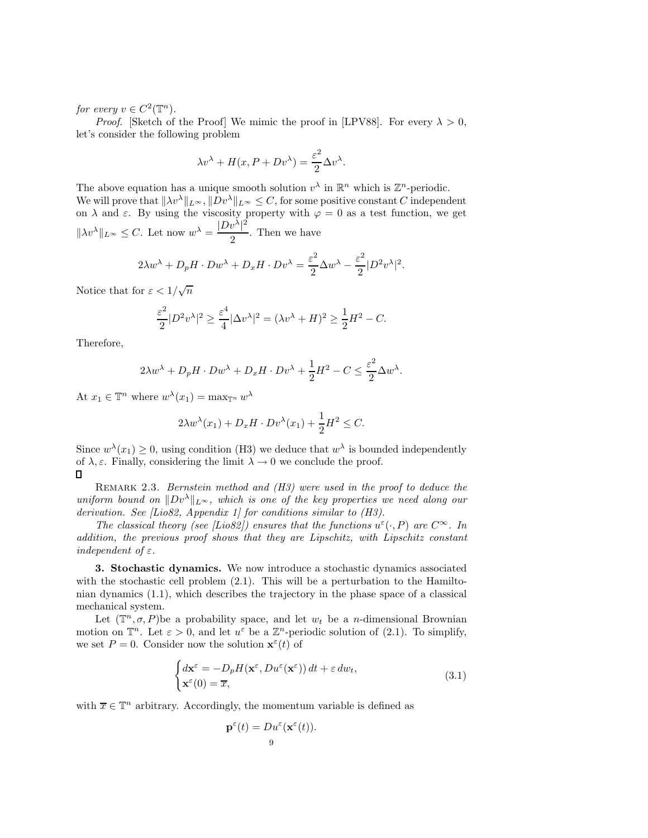for every  $v \in C^2(\mathbb{T}^n)$ .

*Proof.* [Sketch of the Proof] We mimic the proof in [LPV88]. For every  $\lambda > 0$ , let's consider the following problem

$$
\lambda v^{\lambda} + H(x, P + Dv^{\lambda}) = \frac{\varepsilon^2}{2} \Delta v^{\lambda}.
$$

The above equation has a unique smooth solution  $v^{\lambda}$  in  $\mathbb{R}^n$  which is  $\mathbb{Z}^n$ -periodic. We will prove that  $\|\lambda v^\lambda\|_{L^\infty}, \|D v^\lambda\|_{L^\infty} \leq C$ , for some positive constant C independent on  $\lambda$  and  $\varepsilon$ . By using the viscosity property with  $\varphi = 0$  as a test function, we get  $\|\lambda v^\lambda\|_{L^\infty} \leq C.$  Let now  $w^\lambda = \frac{|Dv^\lambda|^2}{2}$  $\frac{c}{2}$ . Then we have

$$
2\lambda w^{\lambda} + D_p H \cdot Dw^{\lambda} + D_x H \cdot Dv^{\lambda} = \frac{\varepsilon^2}{2} \Delta w^{\lambda} - \frac{\varepsilon^2}{2} |D^2 v^{\lambda}|^2.
$$

Notice that for  $\varepsilon < 1/\sqrt{n}$ 

$$
\frac{\varepsilon^2}{2}|D^2v^\lambda|^2 \ge \frac{\varepsilon^4}{4}|\Delta v^\lambda|^2 = (\lambda v^\lambda + H)^2 \ge \frac{1}{2}H^2 - C.
$$

Therefore,

$$
2\lambda w^{\lambda} + D_p H \cdot Dw^{\lambda} + D_x H \cdot Dv^{\lambda} + \frac{1}{2}H^2 - C \le \frac{\varepsilon^2}{2} \Delta w^{\lambda}.
$$

At  $x_1 \in \mathbb{T}^n$  where  $w^{\lambda}(x_1) = \max_{\mathbb{T}^n} w^{\lambda}$ 

$$
2\lambda w^{\lambda}(x_1) + D_x H \cdot Dv^{\lambda}(x_1) + \frac{1}{2}H^2 \leq C.
$$

Since  $w^{\lambda}(x_1) \geq 0$ , using condition (H3) we deduce that  $w^{\lambda}$  is bounded independently of  $\lambda, \varepsilon$ . Finally, considering the limit  $\lambda \to 0$  we conclude the proof.  $\square$ 

REMARK 2.3. Bernstein method and  $(H3)$  were used in the proof to deduce the uniform bound on  $||Dv^{\lambda}||_{L^{\infty}}$ , which is one of the key properties we need along our derivation. See [Lio82, Appendix 1] for conditions similar to (H3).

The classical theory (see [Lio82]) ensures that the functions  $u^{\varepsilon}(\cdot,P)$  are  $C^{\infty}$ . In addition, the previous proof shows that they are Lipschitz, with Lipschitz constant independent of  $\varepsilon$ .

3. Stochastic dynamics. We now introduce a stochastic dynamics associated with the stochastic cell problem  $(2.1)$ . This will be a perturbation to the Hamiltonian dynamics (1.1), which describes the trajectory in the phase space of a classical mechanical system.

Let  $(\mathbb{T}^n, \sigma, P)$ be a probability space, and let  $w_t$  be a *n*-dimensional Brownian motion on  $\mathbb{T}^n$ . Let  $\varepsilon > 0$ , and let  $u^{\varepsilon}$  be a  $\mathbb{Z}^n$ -periodic solution of (2.1). To simplify, we set  $P = 0$ . Consider now the solution  $\mathbf{x}^{\varepsilon}(t)$  of

$$
\begin{cases} d\mathbf{x}^{\varepsilon} = -D_p H(\mathbf{x}^{\varepsilon}, Du^{\varepsilon}(\mathbf{x}^{\varepsilon})) dt + \varepsilon dw_t, \\ \mathbf{x}^{\varepsilon}(0) = \overline{x}, \end{cases}
$$
 (3.1)

with  $\overline{x} \in \mathbb{T}^n$  arbitrary. Accordingly, the momentum variable is defined as

$$
\mathbf{p}^{\varepsilon}(t) = Du^{\varepsilon}(\mathbf{x}^{\varepsilon}(t)).
$$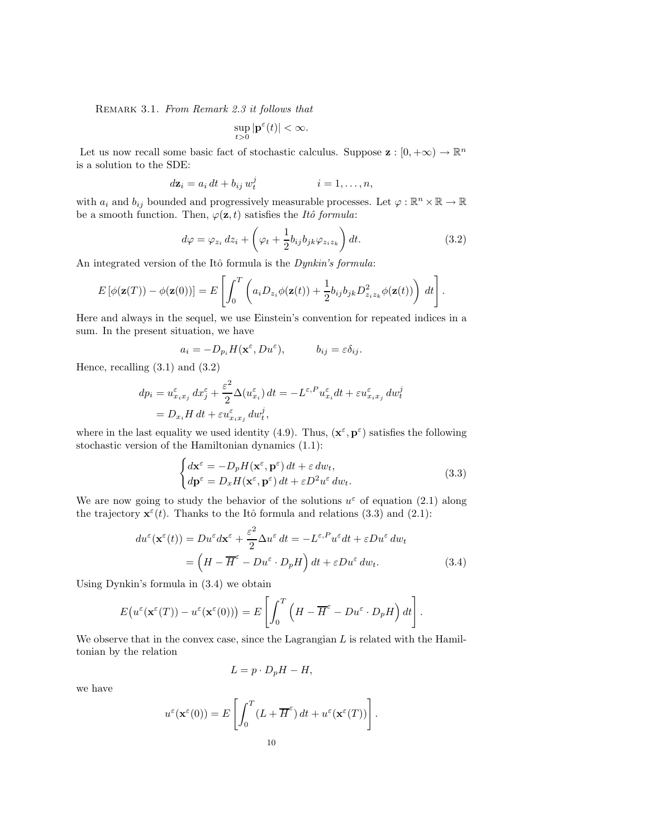Remark 3.1. From Remark 2.3 it follows that

$$
\sup_{t>0} |\mathbf{p}^{\varepsilon}(t)| < \infty.
$$

Let us now recall some basic fact of stochastic calculus. Suppose  $\mathbf{z}: [0, +\infty) \to \mathbb{R}^n$ is a solution to the SDE:

$$
d\mathbf{z}_i = a_i dt + b_{ij} w_t^j \qquad i = 1, \dots, n,
$$

with  $a_i$  and  $b_{ij}$  bounded and progressively measurable processes. Let  $\varphi : \mathbb{R}^n \times \mathbb{R} \to \mathbb{R}$ be a smooth function. Then,  $\varphi(\mathbf{z}, t)$  satisfies the Itô formula:

$$
d\varphi = \varphi_{z_i} dz_i + \left(\varphi_t + \frac{1}{2} b_{ij} b_{jk} \varphi_{z_i z_k}\right) dt.
$$
 (3.2)

An integrated version of the Itô formula is the  $Dynkin's$  formula:

$$
E\left[\phi(\mathbf{z}(T)) - \phi(\mathbf{z}(0))\right] = E\left[\int_0^T \left(a_i D_{z_i} \phi(\mathbf{z}(t)) + \frac{1}{2} b_{ij} b_{jk} D_{z_i z_k}^2 \phi(\mathbf{z}(t))\right) dt\right].
$$

Here and always in the sequel, we use Einstein's convention for repeated indices in a sum. In the present situation, we have

$$
a_i = -D_{p_i}H(\mathbf{x}^{\varepsilon}, Du^{\varepsilon}), \qquad b_{ij} = \varepsilon \delta_{ij}.
$$

Hence, recalling (3.1) and (3.2)

$$
dp_i = u_{x_ix_j}^{\varepsilon} dx_j^{\varepsilon} + \frac{\varepsilon^2}{2} \Delta(u_{x_i}^{\varepsilon}) dt = -L^{\varepsilon, P} u_{x_i}^{\varepsilon} dt + \varepsilon u_{x_ix_j}^{\varepsilon} dw_t^j
$$
  
=  $D_{x_i} H dt + \varepsilon u_{x_ix_j}^{\varepsilon} dw_t^j$ ,

where in the last equality we used identity (4.9). Thus,  $(\mathbf{x}^{\varepsilon}, \mathbf{p}^{\varepsilon})$  satisfies the following stochastic version of the Hamiltonian dynamics (1.1):

$$
\begin{cases} d\mathbf{x}^{\varepsilon} = -D_p H(\mathbf{x}^{\varepsilon}, \mathbf{p}^{\varepsilon}) dt + \varepsilon dw_t, \\ d\mathbf{p}^{\varepsilon} = D_x H(\mathbf{x}^{\varepsilon}, \mathbf{p}^{\varepsilon}) dt + \varepsilon D^2 u^{\varepsilon} dw_t. \end{cases} \tag{3.3}
$$

We are now going to study the behavior of the solutions  $u^{\varepsilon}$  of equation (2.1) along the trajectory  $\mathbf{x}^{\varepsilon}(t)$ . Thanks to the Itô formula and relations (3.3) and (2.1):

$$
du^{\varepsilon}(\mathbf{x}^{\varepsilon}(t)) = Du^{\varepsilon}d\mathbf{x}^{\varepsilon} + \frac{\varepsilon^{2}}{2}\Delta u^{\varepsilon} dt = -L^{\varepsilon,P}u^{\varepsilon}dt + \varepsilon Du^{\varepsilon} dw_{t}
$$

$$
= \left(H - \overline{H}^{\varepsilon} - Du^{\varepsilon} \cdot D_{p}H\right)dt + \varepsilon Du^{\varepsilon} dw_{t}.
$$
(3.4)

Using Dynkin's formula in (3.4) we obtain

$$
E(u^{\varepsilon}(\mathbf{x}^{\varepsilon}(T)) - u^{\varepsilon}(\mathbf{x}^{\varepsilon}(0))) = E\left[\int_0^T \left(H - \overline{H}^{\varepsilon} - Du^{\varepsilon} \cdot D_p H\right) dt\right].
$$

We observe that in the convex case, since the Lagrangian  $L$  is related with the Hamiltonian by the relation

$$
L = p \cdot D_p H - H,
$$

we have

$$
u^{\varepsilon}(\mathbf{x}^{\varepsilon}(0)) = E\left[\int_0^T (L + \overline{H}^{\varepsilon}) dt + u^{\varepsilon}(\mathbf{x}^{\varepsilon}(T))\right].
$$
  
10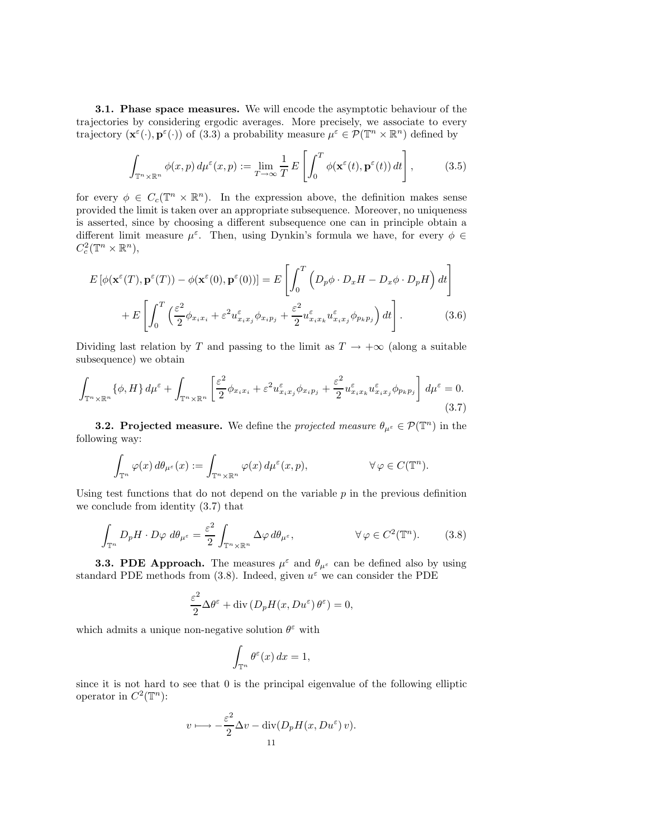3.1. Phase space measures. We will encode the asymptotic behaviour of the trajectories by considering ergodic averages. More precisely, we associate to every trajectory  $(\mathbf{x}^{\varepsilon}(\cdot), \mathbf{p}^{\varepsilon}(\cdot))$  of  $(3.3)$  a probability measure  $\mu^{\varepsilon} \in \mathcal{P}(\mathbb{T}^n \times \mathbb{R}^n)$  defined by

$$
\int_{\mathbb{T}^n \times \mathbb{R}^n} \phi(x, p) d\mu^{\varepsilon}(x, p) := \lim_{T \to \infty} \frac{1}{T} E\left[\int_0^T \phi(\mathbf{x}^{\varepsilon}(t), \mathbf{p}^{\varepsilon}(t)) dt\right],
$$
 (3.5)

for every  $\phi \in C_c(\mathbb{T}^n \times \mathbb{R}^n)$ . In the expression above, the definition makes sense provided the limit is taken over an appropriate subsequence. Moreover, no uniqueness is asserted, since by choosing a different subsequence one can in principle obtain a different limit measure  $\mu^{\varepsilon}$ . Then, using Dynkin's formula we have, for every  $\phi \in$  $C_c^2(\mathbb{T}^n\times\mathbb{R}^n),$ 

$$
E\left[\phi(\mathbf{x}^{\varepsilon}(T), \mathbf{p}^{\varepsilon}(T)) - \phi(\mathbf{x}^{\varepsilon}(0), \mathbf{p}^{\varepsilon}(0))\right] = E\left[\int_0^T \left(D_p \phi \cdot D_x H - D_x \phi \cdot D_p H\right) dt\right] + E\left[\int_0^T \left(\frac{\varepsilon^2}{2} \phi_{x_i x_i} + \varepsilon^2 u_{x_i x_j}^{\varepsilon} \phi_{x_i p_j} + \frac{\varepsilon^2}{2} u_{x_i x_k}^{\varepsilon} u_{x_i x_j}^{\varepsilon} \phi_{p_k p_j}\right) dt\right].
$$
\n(3.6)

Dividing last relation by T and passing to the limit as  $T \rightarrow +\infty$  (along a suitable subsequence) we obtain

$$
\int_{\mathbb{T}^n \times \mathbb{R}^n} {\{\phi, H\}} d\mu^{\varepsilon} + \int_{\mathbb{T}^n \times \mathbb{R}^n} \left[ \frac{\varepsilon^2}{2} \phi_{x_i x_i} + \varepsilon^2 u_{x_i x_j}^{\varepsilon} \phi_{x_i p_j} + \frac{\varepsilon^2}{2} u_{x_i x_k}^{\varepsilon} u_{x_i x_j}^{\varepsilon} \phi_{p_k p_j} \right] d\mu^{\varepsilon} = 0.
$$
\n(3.7)

**3.2. Projected measure.** We define the *projected measure*  $\theta_{\mu^{\varepsilon}} \in \mathcal{P}(\mathbb{T}^n)$  in the following way:

$$
\int_{\mathbb{T}^n} \varphi(x) d\theta_{\mu^{\varepsilon}}(x) := \int_{\mathbb{T}^n \times \mathbb{R}^n} \varphi(x) d\mu^{\varepsilon}(x, p), \qquad \forall \varphi \in C(\mathbb{T}^n).
$$

Using test functions that do not depend on the variable  $p$  in the previous definition we conclude from identity (3.7) that

$$
\int_{\mathbb{T}^n} D_p H \cdot D\varphi \, d\theta_{\mu^{\varepsilon}} = \frac{\varepsilon^2}{2} \int_{\mathbb{T}^n \times \mathbb{R}^n} \Delta \varphi \, d\theta_{\mu^{\varepsilon}}, \qquad \forall \varphi \in C^2(\mathbb{T}^n). \tag{3.8}
$$

**3.3. PDE Approach.** The measures  $\mu^{\varepsilon}$  and  $\theta_{\mu^{\varepsilon}}$  can be defined also by using standard PDE methods from (3.8). Indeed, given  $u^{\varepsilon}$  we can consider the PDE

$$
\frac{\varepsilon^2}{2} \Delta \theta^{\varepsilon} + \text{div} \left( D_p H(x, Du^{\varepsilon}) \theta^{\varepsilon} \right) = 0,
$$

which admits a unique non-negative solution  $\theta^{\varepsilon}$  with

$$
\int_{\mathbb{T}^n} \theta^{\varepsilon}(x) \, dx = 1,
$$

since it is not hard to see that 0 is the principal eigenvalue of the following elliptic operator in  $C^2(\mathbb{T}^n)$ :

$$
v \longmapsto -\frac{\varepsilon^2}{2} \Delta v - \text{div}(D_p H(x, Du^{\varepsilon}) v).
$$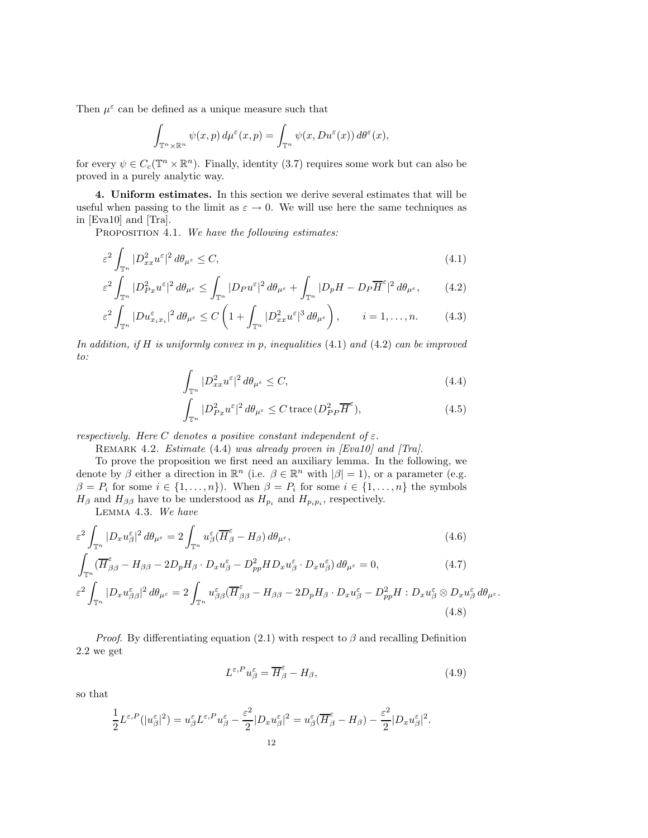Then  $\mu^{\varepsilon}$  can be defined as a unique measure such that

$$
\int_{\mathbb{T}^n\times\mathbb{R}^n}\psi(x,p)\,d\mu^{\varepsilon}(x,p)=\int_{\mathbb{T}^n}\psi(x,Du^{\varepsilon}(x))\,d\theta^{\varepsilon}(x),
$$

for every  $\psi \in C_c(\mathbb{T}^n \times \mathbb{R}^n)$ . Finally, identity (3.7) requires some work but can also be proved in a purely analytic way.

4. Uniform estimates. In this section we derive several estimates that will be useful when passing to the limit as  $\varepsilon \to 0$ . We will use here the same techniques as in [Eva10] and [Tra].

PROPOSITION 4.1. We have the following estimates:

$$
\varepsilon^2 \int_{\mathbb{T}^n} |D^2_{xx} u^{\varepsilon}|^2 d\theta_{\mu^{\varepsilon}} \le C,\tag{4.1}
$$

$$
\varepsilon^2 \int_{\mathbb{T}^n} |D_{Px}^2 u^{\varepsilon}|^2 d\theta_{\mu^{\varepsilon}} \le \int_{\mathbb{T}^n} |D_P u^{\varepsilon}|^2 d\theta_{\mu^{\varepsilon}} + \int_{\mathbb{T}^n} |D_p H - D_P \overline{H}^{\varepsilon}|^2 d\theta_{\mu^{\varepsilon}}, \tag{4.2}
$$

$$
\varepsilon^2 \int_{\mathbb{T}^n} |Du_{x_ix_i}^{\varepsilon}|^2 d\theta_{\mu^{\varepsilon}} \le C \left(1 + \int_{\mathbb{T}^n} |D_{xx}^2 u^{\varepsilon}|^3 d\theta_{\mu^{\varepsilon}}\right), \qquad i = 1, \dots, n. \tag{4.3}
$$

In addition, if H is uniformly convex in p, inequalities  $(4.1)$  and  $(4.2)$  can be improved to:

$$
\int_{\mathbb{T}^n} |D^2_{xx} u^{\varepsilon}|^2 d\theta_{\mu^{\varepsilon}} \le C,\tag{4.4}
$$

$$
\int_{\mathbb{T}^n} |D_{Px}^2 u^{\varepsilon}|^2 d\theta_{\mu^{\varepsilon}} \le C \operatorname{trace} (D_{PP}^2 \overline{H}^{\varepsilon}), \tag{4.5}
$$

respectively. Here C denotes a positive constant independent of  $\varepsilon$ .

REMARK 4.2. Estimate (4.4) was already proven in [Eva10] and [Tra].

To prove the proposition we first need an auxiliary lemma. In the following, we denote by  $\beta$  either a direction in  $\mathbb{R}^n$  (i.e.  $\beta \in \mathbb{R}^n$  with  $|\beta|=1$ ), or a parameter (e.g.  $\beta = P_i$  for some  $i \in \{1, ..., n\}$ . When  $\beta = P_i$  for some  $i \in \{1, ..., n\}$  the symbols  $H_{\beta}$  and  $H_{\beta\beta}$  have to be understood as  $H_{p_i}$  and  $H_{p_i p_i}$ , respectively.

Lemma 4.3. We have

$$
\varepsilon^2 \int_{\mathbb{T}^n} |D_x u_{\beta}^{\varepsilon}|^2 d\theta_{\mu^{\varepsilon}} = 2 \int_{\mathbb{T}^n} u_{\beta}^{\varepsilon} (\overline{H}_{\beta}^{\varepsilon} - H_{\beta}) d\theta_{\mu^{\varepsilon}}, \tag{4.6}
$$

$$
\int_{\mathbb{T}^n} (\overline{H}_{\beta\beta}^{\varepsilon} - H_{\beta\beta} - 2D_p H_{\beta} \cdot D_x u_{\beta}^{\varepsilon} - D_{pp}^2 H D_x u_{\beta}^{\varepsilon} \cdot D_x u_{\beta}^{\varepsilon}) d\theta_{\mu^{\varepsilon}} = 0,
$$
\n(4.7)

$$
\varepsilon^2 \int_{\mathbb{T}^n} |D_x u_{\beta\beta}^\varepsilon|^2 d\theta_{\mu^\varepsilon} = 2 \int_{\mathbb{T}^n} u_{\beta\beta}^\varepsilon (\overline{H}_{\beta\beta}^\varepsilon - H_{\beta\beta} - 2D_p H_\beta \cdot D_x u_\beta^\varepsilon - D_{pp}^2 H : D_x u_\beta^\varepsilon \otimes D_x u_\beta^\varepsilon d\theta_{\mu^\varepsilon}.
$$
\n(4.8)

*Proof.* By differentiating equation (2.1) with respect to  $\beta$  and recalling Definition 2.2 we get

$$
L^{\varepsilon,P}u_{\beta}^{\varepsilon} = \overline{H}_{\beta}^{\varepsilon} - H_{\beta},\tag{4.9}
$$

so that

$$
\frac{1}{2}L^{\varepsilon,P}(|u_{\beta}^{\varepsilon}|^2) = u_{\beta}^{\varepsilon}L^{\varepsilon,P}u_{\beta}^{\varepsilon} - \frac{\varepsilon^2}{2}|D_x u_{\beta}^{\varepsilon}|^2 = u_{\beta}^{\varepsilon}(\overline{H}_{\beta}^{\varepsilon} - H_{\beta}) - \frac{\varepsilon^2}{2}|D_x u_{\beta}^{\varepsilon}|^2.
$$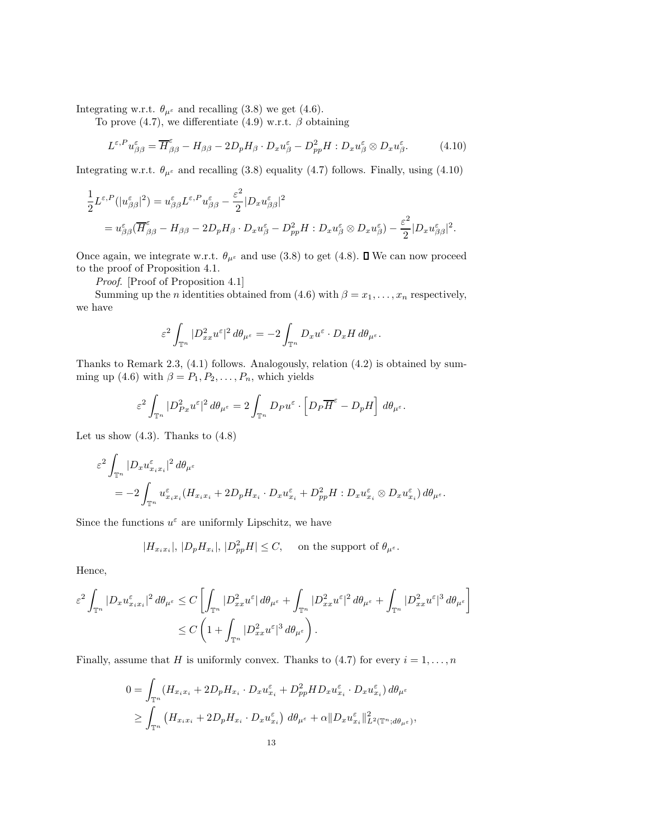Integrating w.r.t.  $\theta_{\mu^{\varepsilon}}$  and recalling (3.8) we get (4.6).

To prove (4.7), we differentiate (4.9) w.r.t.  $\beta$  obtaining

$$
L^{\varepsilon,P} u_{\beta\beta}^{\varepsilon} = \overline{H}_{\beta\beta}^{\varepsilon} - H_{\beta\beta} - 2D_p H_{\beta} \cdot D_x u_{\beta}^{\varepsilon} - D_{pp}^2 H : D_x u_{\beta}^{\varepsilon} \otimes D_x u_{\beta}^{\varepsilon}.
$$
 (4.10)

Integrating w.r.t.  $\theta_{\mu^{\varepsilon}}$  and recalling (3.8) equality (4.7) follows. Finally, using (4.10)

$$
\frac{1}{2}L^{\varepsilon,P}(|u_{\beta\beta}^{\varepsilon}|^2) = u_{\beta\beta}^{\varepsilon}L^{\varepsilon,P}u_{\beta\beta}^{\varepsilon} - \frac{\varepsilon^2}{2}|D_x u_{\beta\beta}^{\varepsilon}|^2
$$
\n
$$
= u_{\beta\beta}^{\varepsilon}(\overline{H}_{\beta\beta}^{\varepsilon} - H_{\beta\beta} - 2D_p H_{\beta} \cdot D_x u_{\beta}^{\varepsilon} - D_{pp}^2 H : D_x u_{\beta}^{\varepsilon} \otimes D_x u_{\beta}^{\varepsilon}) - \frac{\varepsilon^2}{2}|D_x u_{\beta\beta}^{\varepsilon}|^2.
$$

Once again, we integrate w.r.t.  $\theta_{\mu^{\varepsilon}}$  and use (3.8) to get (4.8).  $\Box$  We can now proceed to the proof of Proposition 4.1.

Proof. [Proof of Proposition 4.1]

Summing up the *n* identities obtained from (4.6) with  $\beta = x_1, \ldots, x_n$  respectively, we have

$$
\varepsilon^2 \int_{\mathbb{T}^n} |D^2_{xx} u^\varepsilon|^2 d\theta_{\mu^\varepsilon} = -2 \int_{\mathbb{T}^n} D_x u^\varepsilon \cdot D_x H d\theta_{\mu^\varepsilon}.
$$

Thanks to Remark 2.3, (4.1) follows. Analogously, relation (4.2) is obtained by summing up (4.6) with  $\beta = P_1, P_2, \ldots, P_n$ , which yields

$$
\varepsilon^2 \int_{\mathbb{T}^n} |D_{Px}^2 u^{\varepsilon}|^2 d\theta_{\mu^{\varepsilon}} = 2 \int_{\mathbb{T}^n} D_P u^{\varepsilon} \cdot \left[ D_P \overline{H}^{\varepsilon} - D_p H \right] d\theta_{\mu^{\varepsilon}}.
$$

Let us show  $(4.3)$ . Thanks to  $(4.8)$ 

$$
\varepsilon^2 \int_{\mathbb{T}^n} |D_x u_{x_i x_i}^{\varepsilon}|^2 d\theta_{\mu^{\varepsilon}}
$$
  
= 
$$
-2 \int_{\mathbb{T}^n} u_{x_i x_i}^{\varepsilon} (H_{x_i x_i} + 2D_p H_{x_i} \cdot D_x u_{x_i}^{\varepsilon} + D_{pp}^2 H : D_x u_{x_i}^{\varepsilon} \otimes D_x u_{x_i}^{\varepsilon}) d\theta_{\mu^{\varepsilon}}.
$$

Since the functions  $u^{\varepsilon}$  are uniformly Lipschitz, we have

$$
|H_{x_ix_i}|, |D_pH_{x_i}|, |D_{pp}^2H| \le C, \quad \text{ on the support of } \theta_{\mu^{\varepsilon}}.
$$

Hence,

$$
\begin{aligned} \varepsilon^2 \int_{{\mathbb T}^n} |D_x u^\varepsilon_{x_i x_i}|^2 \, d\theta_{\mu^\varepsilon} &\leq C \left[ \int_{{\mathbb T}^n} |D^2_{xx} u^\varepsilon| \, d\theta_{\mu^\varepsilon} + \int_{{\mathbb T}^n} |D^2_{xx} u^\varepsilon|^2 \, d\theta_{\mu^\varepsilon} + \int_{{\mathbb T}^n} |D^2_{xx} u^\varepsilon|^3 \, d\theta_{\mu^\varepsilon} \right] \\ &\leq C \left( 1 + \int_{{\mathbb T}^n} |D^2_{xx} u^\varepsilon|^3 \, d\theta_{\mu^\varepsilon} \right). \end{aligned}
$$

Finally, assume that H is uniformly convex. Thanks to (4.7) for every  $i = 1, \ldots, n$ 

$$
0 = \int_{\mathbb{T}^n} (H_{x_i x_i} + 2D_p H_{x_i} \cdot D_x u_{x_i}^{\varepsilon} + D_{pp}^2 HD_x u_{x_i}^{\varepsilon} \cdot D_x u_{x_i}^{\varepsilon}) d\theta_{\mu^{\varepsilon}}
$$
  
\n
$$
\geq \int_{\mathbb{T}^n} (H_{x_i x_i} + 2D_p H_{x_i} \cdot D_x u_{x_i}^{\varepsilon}) d\theta_{\mu^{\varepsilon}} + \alpha ||D_x u_{x_i}^{\varepsilon}||_{L^2(\mathbb{T}^n; d\theta_{\mu^{\varepsilon}})}^2,
$$
  
\n13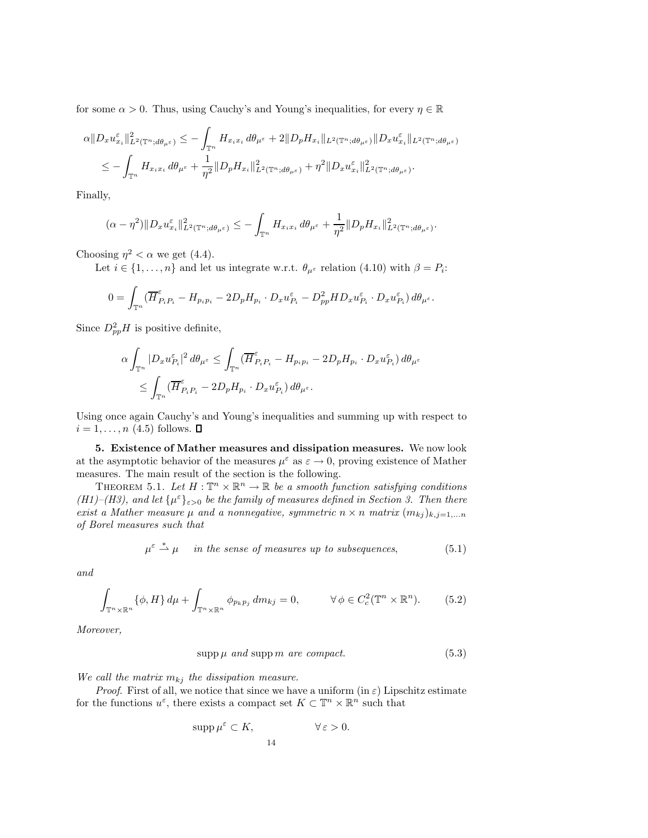for some  $\alpha > 0$ . Thus, using Cauchy's and Young's inequalities, for every  $\eta \in \mathbb{R}$ 

$$
\alpha \|D_x u_{x_i}^{\varepsilon}\|_{L^2(\mathbb{T}^n; d\theta_{\mu^{\varepsilon}})}^2 \leq -\int_{\mathbb{T}^n} H_{x_i x_i} d\theta_{\mu^{\varepsilon}} + 2 \|D_p H_{x_i}\|_{L^2(\mathbb{T}^n; d\theta_{\mu^{\varepsilon}})} \|D_x u_{x_i}^{\varepsilon}\|_{L^2(\mathbb{T}^n; d\theta_{\mu^{\varepsilon}})} \n\leq -\int_{\mathbb{T}^n} H_{x_i x_i} d\theta_{\mu^{\varepsilon}} + \frac{1}{\eta^2} \|D_p H_{x_i}\|_{L^2(\mathbb{T}^n; d\theta_{\mu^{\varepsilon}})}^2 + \eta^2 \|D_x u_{x_i}^{\varepsilon}\|_{L^2(\mathbb{T}^n; d\theta_{\mu^{\varepsilon}})}^2.
$$

Finally,

$$
(\alpha - \eta^2) \|D_x u_{x_i}^\varepsilon\|_{L^2(\mathbb{T}^n; d\theta_{\mu^\varepsilon})}^2 \leq - \int_{\mathbb{T}^n} H_{x_i x_i} d\theta_{\mu^\varepsilon} + \frac{1}{\eta^2} \|D_p H_{x_i}\|_{L^2(\mathbb{T}^n; d\theta_{\mu^\varepsilon})}^2.
$$

Choosing  $\eta^2 < \alpha$  we get (4.4).

Let  $i \in \{1, ..., n\}$  and let us integrate w.r.t.  $\theta_{\mu^{\varepsilon}}$  relation (4.10) with  $\beta = P_i$ :

$$
0 = \int_{\mathbb{T}^n} \left( \overline{H}_{P_i P_i}^{\varepsilon} - H_{p_i p_i} - 2D_p H_{p_i} \cdot D_x u_{P_i}^{\varepsilon} - D_{pp}^2 H D_x u_{P_i}^{\varepsilon} \cdot D_x u_{P_i}^{\varepsilon} \right) d\theta_{\mu^{\varepsilon}}.
$$

Since  $D^2_{pp}H$  is positive definite,

$$
\begin{aligned} \alpha\int_{\mathbb{T}^n}|D_xu_{P_i}^\varepsilon|^2\,d\theta_{\mu^\varepsilon}&\leq \int_{\mathbb{T}^n}(\overline{H}_{P_iP_i}^\varepsilon-H_{p_ip_i}-2D_pH_{p_i}\cdot D_xu_{P_i}^\varepsilon)\,d\theta_{\mu^\varepsilon}\\ &\leq \int_{\mathbb{T}^n}(\overline{H}_{P_iP_i}^\varepsilon-2D_pH_{p_i}\cdot D_xu_{P_i}^\varepsilon)\,d\theta_{\mu^\varepsilon}. \end{aligned}
$$

Using once again Cauchy's and Young's inequalities and summing up with respect to  $i = 1, \ldots, n$  (4.5) follows.  $\blacksquare$ 

5. Existence of Mather measures and dissipation measures. We now look at the asymptotic behavior of the measures  $\mu^{\varepsilon}$  as  $\varepsilon \to 0$ , proving existence of Mather measures. The main result of the section is the following.

THEOREM 5.1. Let  $H : \mathbb{T}^n \times \mathbb{R}^n \to \mathbb{R}$  be a smooth function satisfying conditions (H1)–(H3), and let  $\{\mu^{\varepsilon}\}_{\varepsilon>0}$  be the family of measures defined in Section 3. Then there exist a Mather measure  $\mu$  and a nonnegative, symmetric  $n \times n$  matrix  $(m_{kj})_{k,j=1,...n}$ of Borel measures such that

$$
\mu^{\varepsilon} \stackrel{*}{\rightharpoonup} \mu \quad in the sense of measures up to subsequences,
$$
 (5.1)

and

$$
\int_{\mathbb{T}^n \times \mathbb{R}^n} {\{\phi, H\} \, d\mu} + \int_{\mathbb{T}^n \times \mathbb{R}^n} {\phi_{p_k p_j} \, dm_{kj}} = 0, \qquad \forall \phi \in C_c^2(\mathbb{T}^n \times \mathbb{R}^n). \tag{5.2}
$$

Moreover,

$$
supp \mu \ and \ supp \ m \ are \ compact. \tag{5.3}
$$

We call the matrix  $m_{kj}$  the dissipation measure.

*Proof.* First of all, we notice that since we have a uniform (in  $\varepsilon$ ) Lipschitz estimate for the functions  $u^{\varepsilon}$ , there exists a compact set  $K \subset \mathbb{T}^n \times \mathbb{R}^n$  such that

$$
\mathrm{supp}\,\mu^{\varepsilon}\subset K,\qquad \qquad \forall\,\varepsilon>0.
$$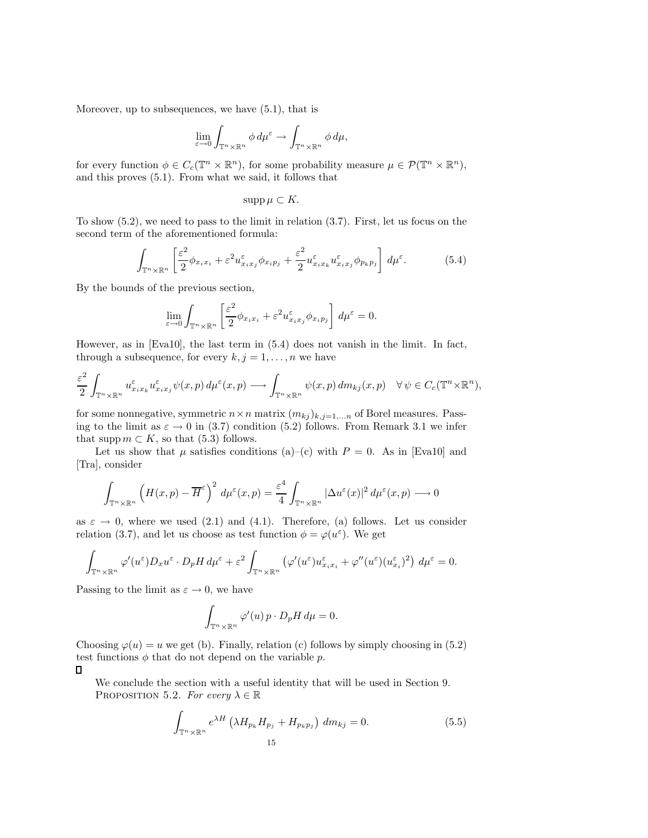Moreover, up to subsequences, we have (5.1), that is

$$
\lim_{\varepsilon \to 0} \int_{\mathbb{T}^n \times \mathbb{R}^n} \phi \, d\mu^{\varepsilon} \to \int_{\mathbb{T}^n \times \mathbb{R}^n} \phi \, d\mu,
$$

for every function  $\phi \in C_c(\mathbb{T}^n \times \mathbb{R}^n)$ , for some probability measure  $\mu \in \mathcal{P}(\mathbb{T}^n \times \mathbb{R}^n)$ , and this proves (5.1). From what we said, it follows that

$$
\operatorname{supp}\mu\subset K.
$$

To show (5.2), we need to pass to the limit in relation (3.7). First, let us focus on the second term of the aforementioned formula:

$$
\int_{\mathbb{T}^n \times \mathbb{R}^n} \left[ \frac{\varepsilon^2}{2} \phi_{x_i x_i} + \varepsilon^2 u_{x_i x_j}^{\varepsilon} \phi_{x_i p_j} + \frac{\varepsilon^2}{2} u_{x_i x_k}^{\varepsilon} u_{x_i x_j}^{\varepsilon} \phi_{p_k p_j} \right] d\mu^{\varepsilon}.
$$
 (5.4)

By the bounds of the previous section,

$$
\lim_{\varepsilon \to 0} \int_{\mathbb{T}^n \times \mathbb{R}^n} \left[ \frac{\varepsilon^2}{2} \phi_{x_i x_i} + \varepsilon^2 u_{x_i x_j}^{\varepsilon} \phi_{x_i p_j} \right] d\mu^{\varepsilon} = 0.
$$

However, as in [Eva10], the last term in (5.4) does not vanish in the limit. In fact, through a subsequence, for every  $k, j = 1, \ldots, n$  we have

$$
\frac{\varepsilon^2}{2} \int_{\mathbb{T}^n \times \mathbb{R}^n} u_{x_ix_k}^{\varepsilon} u_{x_ix_j}^{\varepsilon} \psi(x, p) d\mu^{\varepsilon}(x, p) \longrightarrow \int_{\mathbb{T}^n \times \mathbb{R}^n} \psi(x, p) dm_{kj}(x, p) \quad \forall \psi \in C_c(\mathbb{T}^n \times \mathbb{R}^n),
$$

for some nonnegative, symmetric  $n \times n$  matrix  $(m_{kj})_{k,j=1,...n}$  of Borel measures. Passing to the limit as  $\varepsilon \to 0$  in (3.7) condition (5.2) follows. From Remark 3.1 we infer that supp  $m \subset K$ , so that (5.3) follows.

Let us show that  $\mu$  satisfies conditions (a)–(c) with  $P = 0$ . As in [Eva10] and [Tra], consider

$$
\int_{\mathbb{T}^n \times \mathbb{R}^n} \left( H(x, p) - \overline{H}^{\varepsilon} \right)^2 d\mu^{\varepsilon}(x, p) = \frac{\varepsilon^4}{4} \int_{\mathbb{T}^n \times \mathbb{R}^n} |\Delta u^{\varepsilon}(x)|^2 d\mu^{\varepsilon}(x, p) \longrightarrow 0
$$

as  $\varepsilon \to 0$ , where we used (2.1) and (4.1). Therefore, (a) follows. Let us consider relation (3.7), and let us choose as test function  $\phi = \varphi(u^{\varepsilon})$ . We get

$$
\int_{\mathbb{T}^n\times\mathbb{R}^n} \varphi'(u^{\varepsilon})D_x u^{\varepsilon} \cdot D_p H \, d\mu^{\varepsilon} + \varepsilon^2 \int_{\mathbb{T}^n\times\mathbb{R}^n} \left( \varphi'(u^{\varepsilon})u^{\varepsilon}_{x_ix_i} + \varphi''(u^{\varepsilon})(u^{\varepsilon}_{x_i})^2 \right) \, d\mu^{\varepsilon} = 0.
$$

Passing to the limit as  $\varepsilon \to 0$ , we have

$$
\int_{\mathbb{T}^n \times \mathbb{R}^n} \varphi'(u) \, p \cdot D_p H \, d\mu = 0.
$$

Choosing  $\varphi(u) = u$  we get (b). Finally, relation (c) follows by simply choosing in (5.2) test functions  $\phi$  that do not depend on the variable p.

## $\Box$

We conclude the section with a useful identity that will be used in Section 9. PROPOSITION 5.2. For every  $\lambda \in \mathbb{R}$ 

$$
\int_{\mathbb{T}^n \times \mathbb{R}^n} e^{\lambda H} \left( \lambda H_{p_k} H_{p_j} + H_{p_k p_j} \right) dm_{kj} = 0.
$$
\n(5.5)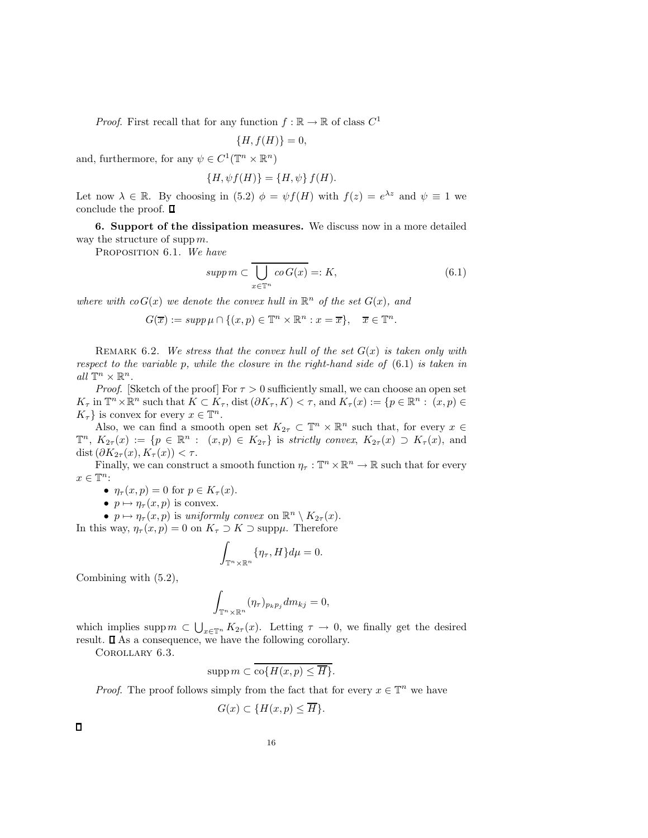*Proof.* First recall that for any function  $f : \mathbb{R} \to \mathbb{R}$  of class  $C^1$ 

$$
\{H, f(H)\}=0,
$$

and, furthermore, for any  $\psi \in C^1(\mathbb{T}^n \times \mathbb{R}^n)$ 

$$
\{H,\psi f(H)\}=\{H,\psi\} f(H).
$$

Let now  $\lambda \in \mathbb{R}$ . By choosing in (5.2)  $\phi = \psi f(H)$  with  $f(z) = e^{\lambda z}$  and  $\psi \equiv 1$  we conclude the proof.  $\square$ 

6. Support of the dissipation measures. We discuss now in a more detailed way the structure of supp  $m$ .

PROPOSITION 6.1. We have

$$
supp m \subset \overline{\bigcup_{x \in \mathbb{T}^n} co\,(x)} =: K,\tag{6.1}
$$

where with  $co G(x)$  we denote the convex hull in  $\mathbb{R}^n$  of the set  $G(x)$ , and

$$
G(\overline{x}) := supp \,\mu \cap \{(x, p) \in \mathbb{T}^n \times \mathbb{R}^n : x = \overline{x}\}, \quad \overline{x} \in \mathbb{T}^n.
$$

REMARK 6.2. We stress that the convex hull of the set  $G(x)$  is taken only with respect to the variable p, while the closure in the right-hand side of  $(6.1)$  is taken in all  $\mathbb{T}^n \times \mathbb{R}^n$ .

*Proof.* [Sketch of the proof] For  $\tau > 0$  sufficiently small, we can choose an open set  $K_{\tau}$  in  $\mathbb{T}^n \times \mathbb{R}^n$  such that  $K \subset K_{\tau}$ , dist  $(\partial K_{\tau}, K) < \tau$ , and  $K_{\tau}(x) := \{p \in \mathbb{R}^n : (x, p) \in$  $K_{\tau}$  is convex for every  $x \in \mathbb{T}^n$ .

Also, we can find a smooth open set  $K_{2\tau} \subset \mathbb{T}^n \times \mathbb{R}^n$  such that, for every  $x \in$  $\mathbb{T}^n$ ,  $K_{2\tau}(x) := \{p \in \mathbb{R}^n : (x,p) \in K_{2\tau}\}\$ is strictly convex,  $K_{2\tau}(x) \supset K_{\tau}(x)$ , and dist  $(\partial K_{2\tau}(x), K_{\tau}(x)) < \tau$ .

Finally, we can construct a smooth function  $\eta_{\tau}: \mathbb{T}^n \times \mathbb{R}^n \to \mathbb{R}$  such that for every  $x\in\mathbb{T}^n$  :

- $\eta_{\tau}(x,p) = 0$  for  $p \in K_{\tau}(x)$ .
- $p \mapsto \eta_{\tau}(x, p)$  is convex.

•  $p \mapsto \eta_{\tau}(x, p)$  is uniformly convex on  $\mathbb{R}^n \setminus K_{2\tau}(x)$ .

In this way,  $\eta_{\tau}(x, p) = 0$  on  $K_{\tau} \supset K \supset \text{supp}\mu$ . Therefore

$$
\int_{\mathbb{T}^n\times\mathbb{R}^n} \{\eta_\tau, H\} d\mu = 0.
$$

Combining with (5.2),

$$
\int_{\mathbb{T}^n\times\mathbb{R}^n} (\eta_\tau)_{p_k p_j} dm_{kj} = 0,
$$

which implies supp  $m \subset \bigcup_{x \in \mathbb{T}^n} K_{2\tau}(x)$ . Letting  $\tau \to 0$ , we finally get the desired result.  $\square$  As a consequence, we have the following corollary.

Corollary 6.3.

$$
\operatorname{supp} m \subset \overline{\operatorname{co}\{H(x,p)\leq \overline{H}\}}.
$$

*Proof.* The proof follows simply from the fact that for every  $x \in \mathbb{T}^n$  we have

$$
G(x) \subset \{H(x, p) \leq \overline{H}\}.
$$

 $\Box$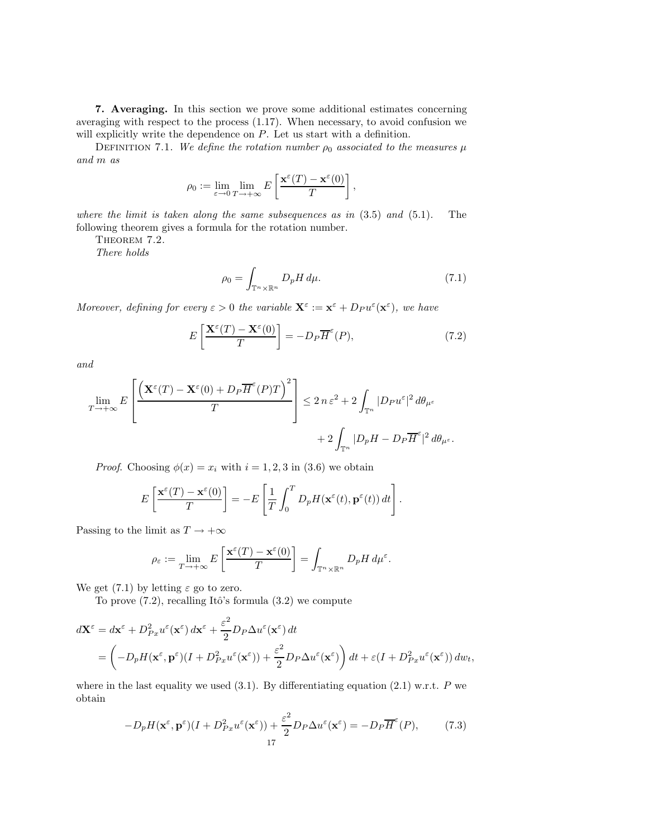7. Averaging. In this section we prove some additional estimates concerning averaging with respect to the process (1.17). When necessary, to avoid confusion we will explicitly write the dependence on  $P$ . Let us start with a definition.

DEFINITION 7.1. We define the rotation number  $\rho_0$  associated to the measures  $\mu$ and m as

$$
\rho_0 := \lim_{\varepsilon \to 0} \lim_{T \to +\infty} E\left[\frac{\mathbf{x}^{\varepsilon}(T) - \mathbf{x}^{\varepsilon}(0)}{T}\right],
$$

where the limit is taken along the same subsequences as in  $(3.5)$  and  $(5.1)$ . The following theorem gives a formula for the rotation number.

THEOREM 7.2.

There holds

$$
\rho_0 = \int_{\mathbb{T}^n \times \mathbb{R}^n} D_p H \, d\mu. \tag{7.1}
$$

Moreover, defining for every  $\varepsilon > 0$  the variable  $\mathbf{X}^{\varepsilon} := \mathbf{x}^{\varepsilon} + D_P u^{\varepsilon}(\mathbf{x}^{\varepsilon})$ , we have

$$
E\left[\frac{\mathbf{X}^{\varepsilon}(T) - \mathbf{X}^{\varepsilon}(0)}{T}\right] = -D_{P}\overline{H}^{\varepsilon}(P),\tag{7.2}
$$

and

$$
\lim_{T \to +\infty} E\left[\frac{\left(\mathbf{X}^{\varepsilon}(T) - \mathbf{X}^{\varepsilon}(0) + D_{P}\overline{H}^{\varepsilon}(P)T\right)^{2}}{T}\right] \leq 2 n \varepsilon^{2} + 2 \int_{\mathbb{T}^{n}} |D_{P}u^{\varepsilon}|^{2} d\theta_{\mu^{\varepsilon}} + 2 \int_{\mathbb{T}^{n}} |D_{P}H - D_{P}\overline{H}^{\varepsilon}|^{2} d\theta_{\mu^{\varepsilon}}.
$$

*Proof.* Choosing  $\phi(x) = x_i$  with  $i = 1, 2, 3$  in (3.6) we obtain

$$
E\left[\frac{\mathbf{x}^{\varepsilon}(T) - \mathbf{x}^{\varepsilon}(0)}{T}\right] = -E\left[\frac{1}{T}\int_0^T D_p H(\mathbf{x}^{\varepsilon}(t), \mathbf{p}^{\varepsilon}(t)) dt\right].
$$

Passing to the limit as  $T \rightarrow +\infty$ 

$$
\rho_{\varepsilon} := \lim_{T \to +\infty} E\left[\frac{\mathbf{x}^{\varepsilon}(T) - \mathbf{x}^{\varepsilon}(0)}{T}\right] = \int_{\mathbb{T}^n \times \mathbb{R}^n} D_p H \, d\mu^{\varepsilon}.
$$

We get (7.1) by letting  $\varepsilon$  go to zero.

To prove  $(7.2)$ , recalling Itô's formula  $(3.2)$  we compute

$$
d\mathbf{X}^{\varepsilon} = d\mathbf{x}^{\varepsilon} + D_{Px}^2 u^{\varepsilon}(\mathbf{x}^{\varepsilon}) d\mathbf{x}^{\varepsilon} + \frac{\varepsilon^2}{2} D_P \Delta u^{\varepsilon}(\mathbf{x}^{\varepsilon}) dt = \left( -D_p H(\mathbf{x}^{\varepsilon}, \mathbf{p}^{\varepsilon}) (I + D_{Px}^2 u^{\varepsilon}(\mathbf{x}^{\varepsilon})) + \frac{\varepsilon^2}{2} D_P \Delta u^{\varepsilon}(\mathbf{x}^{\varepsilon}) \right) dt + \varepsilon (I + D_{Px}^2 u^{\varepsilon}(\mathbf{x}^{\varepsilon})) dw_t,
$$

where in the last equality we used  $(3.1)$ . By differentiating equation  $(2.1)$  w.r.t. P we obtain

$$
-D_p H(\mathbf{x}^{\varepsilon}, \mathbf{p}^{\varepsilon})(I + D_{Px}^2 u^{\varepsilon}(\mathbf{x}^{\varepsilon})) + \frac{\varepsilon^2}{2} D_P \Delta u^{\varepsilon}(\mathbf{x}^{\varepsilon}) = -D_P \overline{H}^{\varepsilon}(P),\tag{7.3}
$$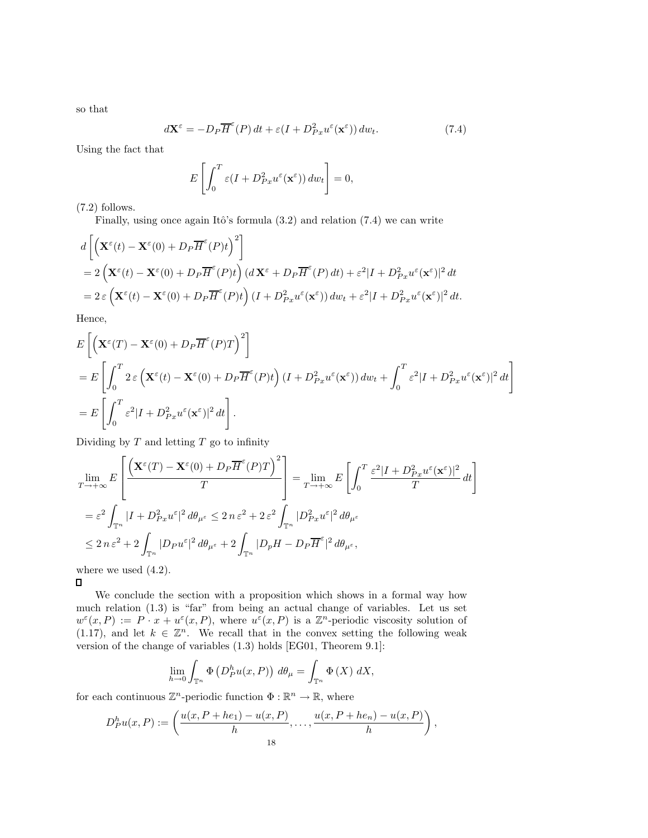so that

$$
d\mathbf{X}^{\varepsilon} = -D_P \overline{H}^{\varepsilon}(P) dt + \varepsilon (I + D_{Px}^2 u^{\varepsilon}(\mathbf{x}^{\varepsilon})) dw_t.
$$
 (7.4)

Using the fact that

$$
E\left[\int_0^T \varepsilon(I + D_{Px}^2 u^{\varepsilon}(\mathbf{x}^{\varepsilon})) \, dw_t\right] = 0,
$$

(7.2) follows.

Finally, using once again Itô's formula  $(3.2)$  and relation  $(7.4)$  we can write

$$
d\left[\left(\mathbf{X}^{\varepsilon}(t) - \mathbf{X}^{\varepsilon}(0) + D_{P}\overline{H}^{\varepsilon}(P)t\right)^{2}\right]
$$
  
=  $2\left(\mathbf{X}^{\varepsilon}(t) - \mathbf{X}^{\varepsilon}(0) + D_{P}\overline{H}^{\varepsilon}(P)t\right) (d\mathbf{X}^{\varepsilon} + D_{P}\overline{H}^{\varepsilon}(P) dt) + \varepsilon^{2}|I + D_{Px}^{2}u^{\varepsilon}(\mathbf{x}^{\varepsilon})|^{2} dt$   
=  $2\varepsilon \left(\mathbf{X}^{\varepsilon}(t) - \mathbf{X}^{\varepsilon}(0) + D_{P}\overline{H}^{\varepsilon}(P)t\right) (I + D_{Px}^{2}u^{\varepsilon}(\mathbf{x}^{\varepsilon})) dw_{t} + \varepsilon^{2}|I + D_{Px}^{2}u^{\varepsilon}(\mathbf{x}^{\varepsilon})|^{2} dt$ .

Hence,

$$
\begin{split} &E\left[\left(\mathbf{X}^{\varepsilon}(T)-\mathbf{X}^{\varepsilon}(0)+D_{P}\overline{H}^{\varepsilon}(P)T\right)^{2}\right] \\ &=E\left[\int_{0}^{T}2\,\varepsilon\left(\mathbf{X}^{\varepsilon}(t)-\mathbf{X}^{\varepsilon}(0)+D_{P}\overline{H}^{\varepsilon}(P)t\right)(I+D_{Px}^{2}u^{\varepsilon}(\mathbf{x}^{\varepsilon}))\,dw_{t}+\int_{0}^{T}\varepsilon^{2}|I+D_{Px}^{2}u^{\varepsilon}(\mathbf{x}^{\varepsilon})|^{2}\,dt\right] \\ &=E\left[\int_{0}^{T}\varepsilon^{2}|I+D_{Px}^{2}u^{\varepsilon}(\mathbf{x}^{\varepsilon})|^{2}\,dt\right].\end{split}
$$

Dividing by  $T$  and letting  $T$  go to infinity

$$
\lim_{T \to +\infty} E\left[\frac{\left(\mathbf{X}^{\varepsilon}(T) - \mathbf{X}^{\varepsilon}(0) + D_{P}\overline{H}^{\varepsilon}(P)T\right)^{2}}{T}\right] = \lim_{T \to +\infty} E\left[\int_{0}^{T} \frac{\varepsilon^{2}|I + D_{Px}^{2}u^{\varepsilon}(\mathbf{x}^{\varepsilon})|^{2}}{T} dt\right]
$$
\n
$$
= \varepsilon^{2} \int_{\mathbb{T}^{n}} |I + D_{Px}^{2}u^{\varepsilon}|^{2} d\theta_{\mu^{\varepsilon}} \leq 2 n \varepsilon^{2} + 2 \varepsilon^{2} \int_{\mathbb{T}^{n}} |D_{Px}^{2}u^{\varepsilon}|^{2} d\theta_{\mu^{\varepsilon}}
$$
\n
$$
\leq 2 n \varepsilon^{2} + 2 \int_{\mathbb{T}^{n}} |D_{P}u^{\varepsilon}|^{2} d\theta_{\mu^{\varepsilon}} + 2 \int_{\mathbb{T}^{n}} |D_{P}H - D_{P}\overline{H}^{\varepsilon}|^{2} d\theta_{\mu^{\varepsilon}},
$$

where we used  $(4.2)$ .

 $\Box$ 

We conclude the section with a proposition which shows in a formal way how much relation (1.3) is "far" from being an actual change of variables. Let us set  $w^{\varepsilon}(x,P) := P \cdot x + u^{\varepsilon}(x,P)$ , where  $u^{\varepsilon}(x,P)$  is a  $\mathbb{Z}^n$ -periodic viscosity solution of (1.17), and let  $k \in \mathbb{Z}^n$ . We recall that in the convex setting the following weak version of the change of variables (1.3) holds [EG01, Theorem 9.1]:

$$
\lim_{h \to 0} \int_{\mathbb{T}^n} \Phi\left(D_P^h u(x, P)\right) d\theta_\mu = \int_{\mathbb{T}^n} \Phi\left(X\right) dX,
$$

for each continuous  $\mathbb{Z}^n$ -periodic function  $\Phi : \mathbb{R}^n \to \mathbb{R}$ , where

$$
D_P^h u(x, P) := \left( \frac{u(x, P + he_1) - u(x, P)}{h}, \dots, \frac{u(x, P + he_n) - u(x, P)}{h} \right),
$$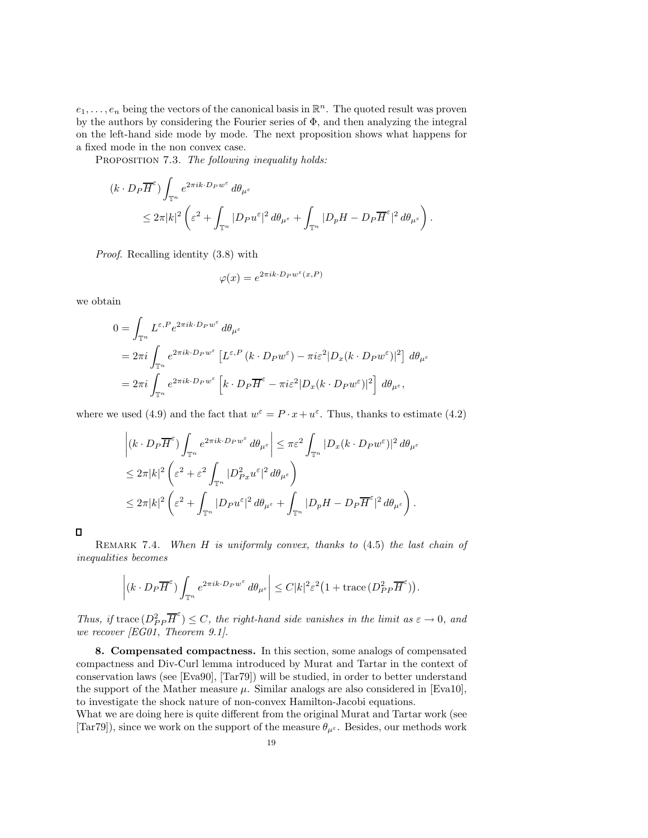$e_1, \ldots, e_n$  being the vectors of the canonical basis in  $\mathbb{R}^n$ . The quoted result was proven by the authors by considering the Fourier series of  $\Phi$ , and then analyzing the integral on the left-hand side mode by mode. The next proposition shows what happens for a fixed mode in the non convex case.

PROPOSITION 7.3. The following inequality holds:

$$
(k \cdot D_P \overline{H}^{\varepsilon}) \int_{\mathbb{T}^n} e^{2\pi i k \cdot D_P w^{\varepsilon}} d\theta_{\mu^{\varepsilon}}
$$
  

$$
\leq 2\pi |k|^2 \left( \varepsilon^2 + \int_{\mathbb{T}^n} |D_P u^{\varepsilon}|^2 d\theta_{\mu^{\varepsilon}} + \int_{\mathbb{T}^n} |D_p H - D_P \overline{H}^{\varepsilon}|^2 d\theta_{\mu^{\varepsilon}} \right).
$$

Proof. Recalling identity (3.8) with

$$
\varphi(x) = e^{2\pi i k \cdot D_P w^{\varepsilon}(x, P)}
$$

we obtain

$$
0 = \int_{\mathbb{T}^n} L^{\varepsilon, P} e^{2\pi i k \cdot D_P w^{\varepsilon}} d\theta_{\mu^{\varepsilon}}
$$
  
=  $2\pi i \int_{\mathbb{T}^n} e^{2\pi i k \cdot D_P w^{\varepsilon}} \left[ L^{\varepsilon, P} (k \cdot D_P w^{\varepsilon}) - \pi i \varepsilon^2 |D_x (k \cdot D_P w^{\varepsilon})|^2 \right] d\theta_{\mu^{\varepsilon}}$   
=  $2\pi i \int_{\mathbb{T}^n} e^{2\pi i k \cdot D_P w^{\varepsilon}} \left[ k \cdot D_P \overline{H}^{\varepsilon} - \pi i \varepsilon^2 |D_x (k \cdot D_P w^{\varepsilon})|^2 \right] d\theta_{\mu^{\varepsilon}},$ 

where we used (4.9) and the fact that  $w^{\varepsilon} = P \cdot x + u^{\varepsilon}$ . Thus, thanks to estimate (4.2)

$$
\left| (k \cdot D_P \overline{H}^{\varepsilon}) \int_{\mathbb{T}^n} e^{2\pi i k \cdot D_P w^{\varepsilon}} d\theta_{\mu^{\varepsilon}} \right| \leq \pi \varepsilon^2 \int_{\mathbb{T}^n} |D_x(k \cdot D_P w^{\varepsilon})|^2 d\theta_{\mu^{\varepsilon}}
$$
  
\n
$$
\leq 2\pi |k|^2 \left( \varepsilon^2 + \varepsilon^2 \int_{\mathbb{T}^n} |D_{Px}^2 u^{\varepsilon}|^2 d\theta_{\mu^{\varepsilon}} \right)
$$
  
\n
$$
\leq 2\pi |k|^2 \left( \varepsilon^2 + \int_{\mathbb{T}^n} |D_P u^{\varepsilon}|^2 d\theta_{\mu^{\varepsilon}} + \int_{\mathbb{T}^n} |D_p H - D_P \overline{H}^{\varepsilon}|^2 d\theta_{\mu^{\varepsilon}} \right).
$$

 $\Box$ 

REMARK 7.4. When  $H$  is uniformly convex, thanks to  $(4.5)$  the last chain of inequalities becomes

$$
\left| (k \cdot D_P \overline{H}^{\varepsilon}) \int_{\mathbb{T}^n} e^{2\pi i k \cdot D_P w^{\varepsilon}} d\theta_{\mu^{\varepsilon}} \right| \leq C |k|^2 \varepsilon^2 \left( 1 + \text{trace} \left( D_{PP}^2 \overline{H}^{\varepsilon} \right) \right).
$$

Thus, if trace  $(D_P^2 \overline{H}^{\epsilon}) \leq C$ , the right-hand side vanishes in the limit as  $\varepsilon \to 0$ , and we recover [EG01, Theorem 9.1].

8. Compensated compactness. In this section, some analogs of compensated compactness and Div-Curl lemma introduced by Murat and Tartar in the context of conservation laws (see [Eva90], [Tar79]) will be studied, in order to better understand the support of the Mather measure  $\mu$ . Similar analogs are also considered in [Eva10], to investigate the shock nature of non-convex Hamilton-Jacobi equations.

What we are doing here is quite different from the original Murat and Tartar work (see [Tar79]), since we work on the support of the measure  $\theta_{\mu^{\varepsilon}}$ . Besides, our methods work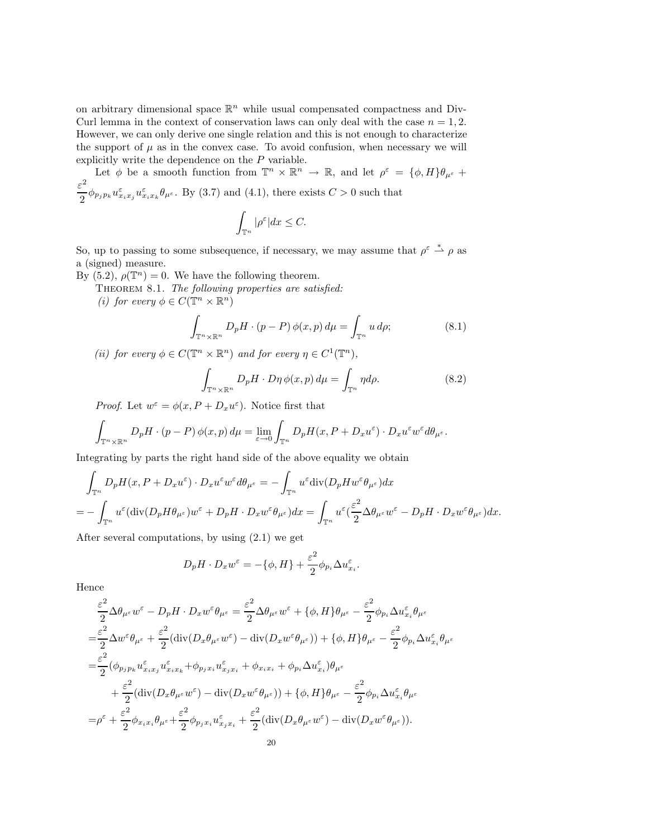on arbitrary dimensional space  $\mathbb{R}^n$  while usual compensated compactness and Div-Curl lemma in the context of conservation laws can only deal with the case  $n = 1, 2$ . However, we can only derive one single relation and this is not enough to characterize the support of  $\mu$  as in the convex case. To avoid confusion, when necessary we will explicitly write the dependence on the P variable.

Let  $\phi$  be a smooth function from  $\mathbb{T}^n \times \mathbb{R}^n \to \mathbb{R}$ , and let  $\rho^{\varepsilon} = {\phi, H}_{\theta}$ ,  $\theta_{\mu^{\varepsilon}}$  $\frac{\varepsilon^2}{2} \phi_{p_j p_k} u_{x_i x_j}^{\varepsilon} u_{x_i x_k}^{\varepsilon} \theta_{\mu^{\varepsilon}}$ . By (3.7) and (4.1), there exists  $C > 0$  such that \$

$$
\int_{\mathbb{T}^n} |\rho^{\varepsilon}| dx \leq C.
$$

So, up to passing to some subsequence, if necessary, we may assume that  $\rho^{\varepsilon} \stackrel{*}{\rightharpoonup} \rho$  as a (signed) measure.

By (5.2),  $\rho(\mathbb{T}^n) = 0$ . We have the following theorem.

THEOREM 8.1. The following properties are satisfied:

(i) for every  $\phi \in C(\mathbb{T}^n \times \mathbb{R}^n)$ 

$$
\int_{\mathbb{T}^n \times \mathbb{R}^n} D_p H \cdot (p - P) \phi(x, p) d\mu = \int_{\mathbb{T}^n} u d\rho; \tag{8.1}
$$

(ii) for every  $\phi \in C(\mathbb{T}^n \times \mathbb{R}^n)$  and for every  $\eta \in C^1(\mathbb{T}^n)$ ,

$$
\int_{\mathbb{T}^n \times \mathbb{R}^n} D_p H \cdot D\eta \, \phi(x, p) \, d\mu = \int_{\mathbb{T}^n} \eta d\rho. \tag{8.2}
$$

*Proof.* Let  $w^{\varepsilon} = \phi(x, P + D_x u^{\varepsilon})$ . Notice first that

$$
\int_{\mathbb{T}^n \times \mathbb{R}^n} D_p H \cdot (p - P) \phi(x, p) d\mu = \lim_{\varepsilon \to 0} \int_{\mathbb{T}^n} D_p H(x, P + D_x u^{\varepsilon}) \cdot D_x u^{\varepsilon} w^{\varepsilon} d\theta_{\mu^{\varepsilon}}.
$$

Integrating by parts the right hand side of the above equality we obtain

$$
\int_{\mathbb{T}^n} D_p H(x, P + D_x u^{\varepsilon}) \cdot D_x u^{\varepsilon} w^{\varepsilon} d\theta_{\mu^{\varepsilon}} = - \int_{\mathbb{T}^n} u^{\varepsilon} \text{div}(D_p H w^{\varepsilon} \theta_{\mu^{\varepsilon}}) dx
$$
\n
$$
= - \int_{\mathbb{T}^n} u^{\varepsilon} (\text{div}(D_p H \theta_{\mu^{\varepsilon}}) w^{\varepsilon} + D_p H \cdot D_x w^{\varepsilon} \theta_{\mu^{\varepsilon}}) dx = \int_{\mathbb{T}^n} u^{\varepsilon} (\frac{\varepsilon^2}{2} \Delta \theta_{\mu^{\varepsilon}} w^{\varepsilon} - D_p H \cdot D_x w^{\varepsilon} \theta_{\mu^{\varepsilon}}) dx.
$$

After several computations, by using (2.1) we get

$$
D_p H \cdot D_x w^{\varepsilon} = -\{\phi, H\} + \frac{\varepsilon^2}{2} \phi_{p_i} \Delta u_{x_i}^{\varepsilon}.
$$

Hence

$$
\frac{\varepsilon^2}{2} \Delta \theta_{\mu^{\varepsilon}} w^{\varepsilon} - D_p H \cdot D_x w^{\varepsilon} \theta_{\mu^{\varepsilon}} = \frac{\varepsilon^2}{2} \Delta \theta_{\mu^{\varepsilon}} w^{\varepsilon} + \{\phi, H\} \theta_{\mu^{\varepsilon}} - \frac{\varepsilon^2}{2} \phi_{p_i} \Delta u^{\varepsilon}_{x_i} \theta_{\mu^{\varepsilon}}
$$
\n
$$
= \frac{\varepsilon^2}{2} \Delta w^{\varepsilon} \theta_{\mu^{\varepsilon}} + \frac{\varepsilon^2}{2} (\text{div}(D_x \theta_{\mu^{\varepsilon}} w^{\varepsilon}) - \text{div}(D_x w^{\varepsilon} \theta_{\mu^{\varepsilon}})) + \{\phi, H\} \theta_{\mu^{\varepsilon}} - \frac{\varepsilon^2}{2} \phi_{p_i} \Delta u^{\varepsilon}_{x_i} \theta_{\mu^{\varepsilon}}
$$
\n
$$
= \frac{\varepsilon^2}{2} (\phi_{p_j p_k} u^{\varepsilon}_{x_i x_j} u^{\varepsilon}_{x_i x_k} + \phi_{p_j x_i} u^{\varepsilon}_{x_j x_i} + \phi_{x_i x_i} + \phi_{p_i} \Delta u^{\varepsilon}_{x_i}) \theta_{\mu^{\varepsilon}}
$$
\n
$$
+ \frac{\varepsilon^2}{2} (\text{div}(D_x \theta_{\mu^{\varepsilon}} w^{\varepsilon}) - \text{div}(D_x w^{\varepsilon} \theta_{\mu^{\varepsilon}})) + \{\phi, H\} \theta_{\mu^{\varepsilon}} - \frac{\varepsilon^2}{2} \phi_{p_i} \Delta u^{\varepsilon}_{x_i} \theta_{\mu^{\varepsilon}}
$$
\n
$$
= \rho^{\varepsilon} + \frac{\varepsilon^2}{2} \phi_{x_i x_i} \theta_{\mu^{\varepsilon}} + \frac{\varepsilon^2}{2} \phi_{p_j x_i} u^{\varepsilon}_{x_j x_i} + \frac{\varepsilon^2}{2} (\text{div}(D_x \theta_{\mu^{\varepsilon}} w^{\varepsilon}) - \text{div}(D_x w^{\varepsilon} \theta_{\mu^{\varepsilon}})).
$$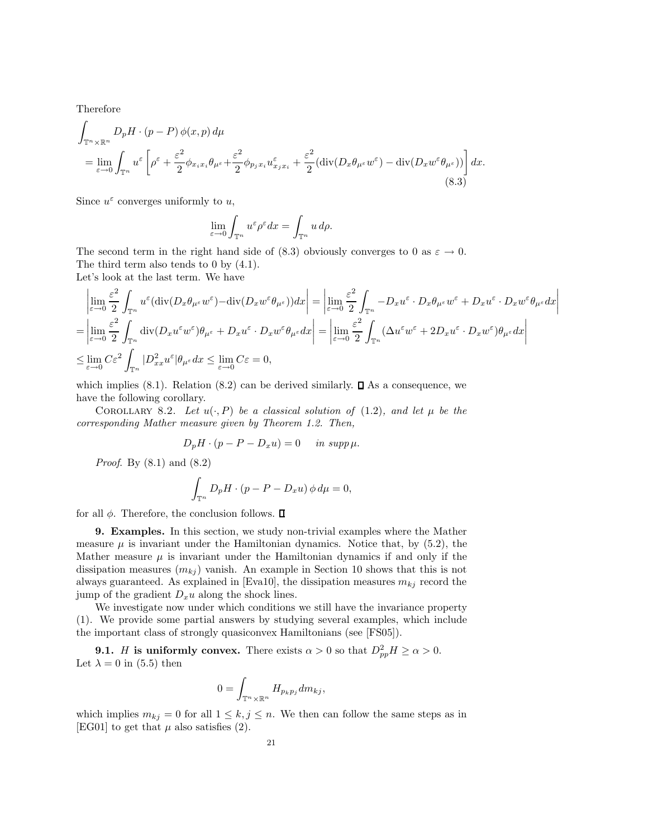Therefore

$$
\int_{\mathbb{T}^n \times \mathbb{R}^n} D_p H \cdot (p - P) \phi(x, p) d\mu
$$
\n
$$
= \lim_{\varepsilon \to 0} \int_{\mathbb{T}^n} u^{\varepsilon} \left[ \rho^{\varepsilon} + \frac{\varepsilon^2}{2} \phi_{x_i x_i} \theta_{\mu^{\varepsilon}} + \frac{\varepsilon^2}{2} \phi_{p_j x_i} u^{\varepsilon}_{x_j x_i} + \frac{\varepsilon^2}{2} (\text{div}(D_x \theta_{\mu^{\varepsilon}} w^{\varepsilon}) - \text{div}(D_x w^{\varepsilon} \theta_{\mu^{\varepsilon}})) \right] dx.
$$
\n(8.3)

Since  $u^{\varepsilon}$  converges uniformly to u,

$$
\lim_{\varepsilon \to 0} \int_{\mathbb{T}^n} u^{\varepsilon} \rho^{\varepsilon} dx = \int_{\mathbb{T}^n} u d\rho.
$$

The second term in the right hand side of (8.3) obviously converges to 0 as  $\varepsilon \to 0$ . The third term also tends to 0 by (4.1).

Let's look at the last term. We have

$$
\begin{split}\n&\left|\lim_{\varepsilon\to 0}\frac{\varepsilon^{2}}{2}\int_{\mathbb{T}^{n}}u^{\varepsilon}(\operatorname{div}(D_{x}\theta_{\mu^{\varepsilon}}w^{\varepsilon})-\operatorname{div}(D_{x}w^{\varepsilon}\theta_{\mu^{\varepsilon}}))dx\right| = \left|\lim_{\varepsilon\to 0}\frac{\varepsilon^{2}}{2}\int_{\mathbb{T}^{n}}-D_{x}u^{\varepsilon}\cdot D_{x}\theta_{\mu^{\varepsilon}}w^{\varepsilon} + D_{x}u^{\varepsilon}\cdot D_{x}w^{\varepsilon}\theta_{\mu^{\varepsilon}}dx\right| \\
&=\left|\lim_{\varepsilon\to 0}\frac{\varepsilon^{2}}{2}\int_{\mathbb{T}^{n}}\operatorname{div}(D_{x}u^{\varepsilon}w^{\varepsilon})\theta_{\mu^{\varepsilon}} + D_{x}u^{\varepsilon}\cdot D_{x}w^{\varepsilon}\theta_{\mu^{\varepsilon}}dx\right| = \left|\lim_{\varepsilon\to 0}\frac{\varepsilon^{2}}{2}\int_{\mathbb{T}^{n}}(\Delta u^{\varepsilon}w^{\varepsilon} + 2D_{x}u^{\varepsilon}\cdot D_{x}w^{\varepsilon})\theta_{\mu^{\varepsilon}}dx\right| \\
&\leq \lim_{\varepsilon\to 0}C\varepsilon^{2}\int_{\mathbb{T}^{n}}|D_{xx}^{2}u^{\varepsilon}|\theta_{\mu^{\varepsilon}}dx \leq \lim_{\varepsilon\to 0}C\varepsilon = 0,\n\end{split}
$$

which implies (8.1). Relation (8.2) can be derived similarly.  $\Box$  As a consequence, we have the following corollary.

COROLLARY 8.2. Let  $u(\cdot, P)$  be a classical solution of (1.2), and let  $\mu$  be the corresponding Mather measure given by Theorem 1.2. Then,

$$
D_p H \cdot (p - P - D_x u) = 0 \quad in \ supp \mu.
$$

Proof. By (8.1) and (8.2)

$$
\int_{\mathbb{T}^n} D_p H \cdot (p - P - D_x u) \phi \, d\mu = 0,
$$

for all  $\phi$ . Therefore, the conclusion follows.  $\Box$ 

9. Examples. In this section, we study non-trivial examples where the Mather measure  $\mu$  is invariant under the Hamiltonian dynamics. Notice that, by (5.2), the Mather measure  $\mu$  is invariant under the Hamiltonian dynamics if and only if the dissipation measures  $(m_{kj})$  vanish. An example in Section 10 shows that this is not always guaranteed. As explained in [Eva10], the dissipation measures  $m_{kj}$  record the jump of the gradient  $D_xu$  along the shock lines.

We investigate now under which conditions we still have the invariance property (1). We provide some partial answers by studying several examples, which include the important class of strongly quasiconvex Hamiltonians (see [FS05]).

**9.1.** *H* is uniformly convex. There exists  $\alpha > 0$  so that  $D_{pp}^2 H \ge \alpha > 0$ . Let  $\lambda = 0$  in (5.5) then

$$
0 = \int_{\mathbb{T}^n \times \mathbb{R}^n} H_{p_k p_j} dm_{kj},
$$

which implies  $m_{kj} = 0$  for all  $1 \leq k, j \leq n$ . We then can follow the same steps as in [EG01] to get that  $\mu$  also satisfies (2).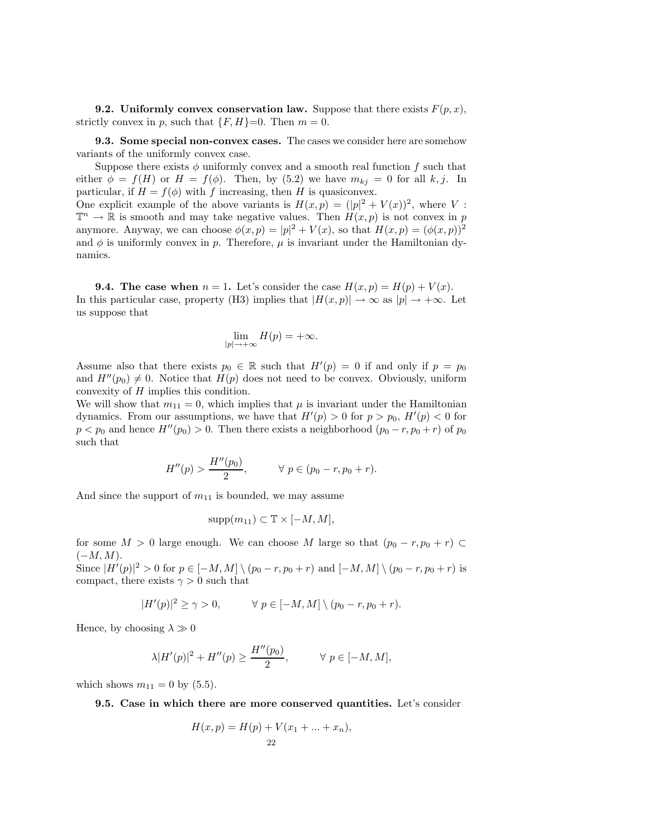**9.2.** Uniformly convex conservation law. Suppose that there exists  $F(p, x)$ , strictly convex in p, such that  $\{F, H\}=0$ . Then  $m=0$ .

9.3. Some special non-convex cases. The cases we consider here are somehow variants of the uniformly convex case.

Suppose there exists  $\phi$  uniformly convex and a smooth real function f such that either  $\phi = f(H)$  or  $H = f(\phi)$ . Then, by (5.2) we have  $m_{kj} = 0$  for all k, j. In particular, if  $H = f(\phi)$  with f increasing, then H is quasiconvex.

One explicit example of the above variants is  $H(x,p) = (|p|^2 + V(x))^2$ , where V :  $\mathbb{T}^n \to \mathbb{R}$  is smooth and may take negative values. Then  $H(x, p)$  is not convex in p anymore. Anyway, we can choose  $\phi(x, p) = |p|^2 + V(x)$ , so that  $H(x, p) = (\phi(x, p))^2$ and  $\phi$  is uniformly convex in p. Therefore,  $\mu$  is invariant under the Hamiltonian dynamics.

**9.4.** The case when  $n = 1$ . Let's consider the case  $H(x, p) = H(p) + V(x)$ . In this particular case, property (H3) implies that  $|H(x,p)| \to \infty$  as  $|p| \to +\infty$ . Let us suppose that

$$
\lim_{|p|\to+\infty}H(p)=+\infty.
$$

Assume also that there exists  $p_0 \in \mathbb{R}$  such that  $H'(p) = 0$  if and only if  $p = p_0$ and  $H''(p_0) \neq 0$ . Notice that  $H(p)$  does not need to be convex. Obviously, uniform convexity of H implies this condition.

We will show that  $m_{11} = 0$ , which implies that  $\mu$  is invariant under the Hamiltonian dynamics. From our assumptions, we have that  $H'(p) > 0$  for  $p > p_0$ ,  $H'(p) < 0$  for  $p < p_0$  and hence  $H''(p_0) > 0$ . Then there exists a neighborhood  $(p_0 - r, p_0 + r)$  of  $p_0$ such that

$$
H''(p) > \frac{H''(p_0)}{2}, \qquad \forall \ p \in (p_0 - r, p_0 + r).
$$

And since the support of  $m_{11}$  is bounded, we may assume

$$
supp(m_{11}) \subset \mathbb{T} \times [-M, M],
$$

for some  $M > 0$  large enough. We can choose M large so that  $(p_0 - r, p_0 + r) \subset$  $(-M, M).$ 

Since  $|H'(p)|^2 > 0$  for  $p \in [-M, M] \setminus (p_0 - r, p_0 + r)$  and  $[-M, M] \setminus (p_0 - r, p_0 + r)$  is compact, there exists  $\gamma > 0$  such that

$$
|H'(p)|^2 \ge \gamma > 0, \qquad \forall p \in [-M, M] \setminus (p_0 - r, p_0 + r).
$$

Hence, by choosing  $\lambda \gg 0$ 

$$
\lambda |H'(p)|^2 + H''(p) \ge \frac{H''(p_0)}{2}, \quad \forall p \in [-M, M],
$$

which shows  $m_{11} = 0$  by (5.5).

9.5. Case in which there are more conserved quantities. Let's consider

$$
H(x, p) = H(p) + V(x_1 + \dots + x_n),
$$
  
22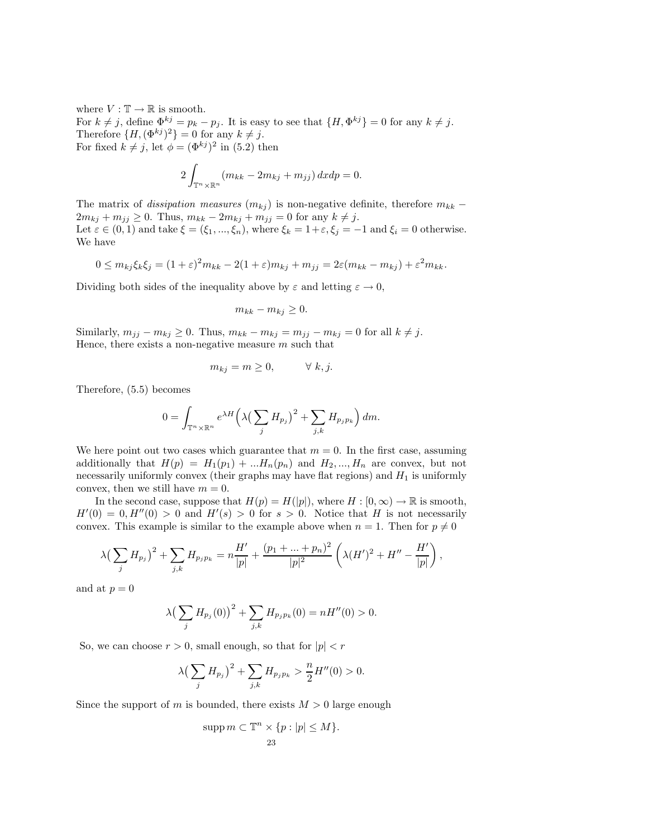where  $V : \mathbb{T} \to \mathbb{R}$  is smooth. For  $k \neq j$ , define  $\Phi^{kj} = p_k - p_j$ . It is easy to see that  $\{H, \Phi^{kj}\} = 0$  for any  $k \neq j$ . Therefore  $\{H, (\Phi^{kj})^2\} = 0$  for any  $k \neq j$ . For fixed  $k \neq j$ , let  $\phi = (\Phi^{kj})^2$  in (5.2) then

$$
2\int_{\mathbb{T}^n\times\mathbb{R}^n} (m_{kk} - 2m_{kj} + m_{jj})\,dxdp = 0.
$$

The matrix of *dissipation measures*  $(m_{kj})$  is non-negative definite, therefore  $m_{kk}$  –  $2m_{kj} + m_{jj} \ge 0$ . Thus,  $m_{kk} - 2m_{kj} + m_{jj} = 0$  for any  $k \ne j$ . Let  $\varepsilon \in (0,1)$  and take  $\xi = (\xi_1, ..., \xi_n)$ , where  $\xi_k = 1 + \varepsilon, \xi_j = -1$  and  $\xi_i = 0$  otherwise. We have

$$
0 \leq m_{kj}\xi_k\xi_j = (1+\varepsilon)^2 m_{kk} - 2(1+\varepsilon)m_{kj} + m_{jj} = 2\varepsilon(m_{kk} - m_{kj}) + \varepsilon^2 m_{kk}.
$$

Dividing both sides of the inequality above by  $\varepsilon$  and letting  $\varepsilon \to 0$ ,

$$
m_{kk} - m_{kj} \ge 0.
$$

Similarly,  $m_{jj} - m_{kj} \ge 0$ . Thus,  $m_{kk} - m_{kj} = m_{jj} - m_{kj} = 0$  for all  $k \ne j$ . Hence, there exists a non-negative measure  $m$  such that

$$
m_{kj} = m \ge 0, \qquad \forall \ k, j.
$$

Therefore, (5.5) becomes

$$
0 = \int_{\mathbb{T}^n \times \mathbb{R}^n} e^{\lambda H} \left( \lambda \left( \sum_j H_{p_j} \right)^2 + \sum_{j,k} H_{p_j p_k} \right) dm.
$$

We here point out two cases which guarantee that  $m = 0$ . In the first case, assuming additionally that  $H(p) = H_1(p_1) + ... H_n(p_n)$  and  $H_2, ..., H_n$  are convex, but not necessarily uniformly convex (their graphs may have flat regions) and  $H_1$  is uniformly convex, then we still have  $m = 0$ .

In the second case, suppose that  $H(p) = H(|p|)$ , where  $H : [0, \infty) \to \mathbb{R}$  is smooth,  $H'(0) = 0$ ,  $H''(0) > 0$  and  $H'(s) > 0$  for  $s > 0$ . Notice that H is not necessarily convex. This example is similar to the example above when  $n = 1$ . Then for  $p \neq 0$ 

$$
\lambda \left( \sum_{j} H_{p_j} \right)^2 + \sum_{j,k} H_{p_j p_k} = n \frac{H'}{|p|} + \frac{(p_1 + \dots + p_n)^2}{|p|^2} \left( \lambda (H')^2 + H'' - \frac{H'}{|p|} \right),
$$

and at  $p = 0$ 

$$
\lambda \big(\sum_j H_{p_j}(0)\big)^2 + \sum_{j,k} H_{p_j p_k}(0) = nH''(0) > 0.
$$

So, we can choose  $r > 0$ , small enough, so that for  $|p| < r$ 

$$
\lambda \left( \sum_{j} H_{p_j} \right)^2 + \sum_{j,k} H_{p_j p_k} > \frac{n}{2} H''(0) > 0.
$$

Since the support of m is bounded, there exists  $M > 0$  large enough

$$
\operatorname{supp} m \subset \mathbb{T}^n \times \{p : |p| \le M\}.
$$
  
23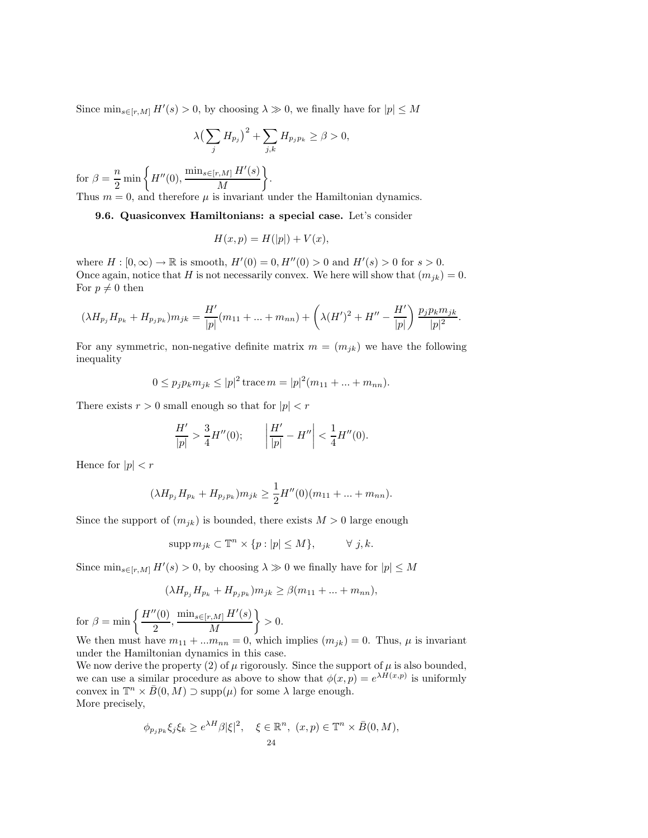Since  $\min_{s \in [r,M]} H'(s) > 0$ , by choosing  $\lambda \gg 0$ , we finally have for  $|p| \leq M$ 

$$
\lambda \big(\sum_j H_{p_j}\big)^2 + \sum_{j,k} H_{p_j p_k} \ge \beta > 0,
$$

for  $\beta = \frac{n}{2} \min \left\{ H''(0), \frac{\min_{s \in [r,M]} H'(s)}{M} \right\}$ M  $\lambda$ . Thus  $m = 0$ , and therefore  $\mu$  is invariant under the Hamiltonian dynamics.

9.6. Quasiconvex Hamiltonians: a special case. Let's consider

$$
H(x, p) = H(|p|) + V(x),
$$

where  $H : [0, \infty) \to \mathbb{R}$  is smooth,  $H'(0) = 0$ ,  $H''(0) > 0$  and  $H'(s) > 0$  for  $s > 0$ . Once again, notice that H is not necessarily convex. We here will show that  $(m_{jk}) = 0$ . For  $p \neq 0$  then

$$
(\lambda H_{p_j} H_{p_k} + H_{p_j p_k}) m_{jk} = \frac{H'}{|p|} (m_{11} + ... + m_{nn}) + \left( \lambda (H')^2 + H'' - \frac{H'}{|p|} \right) \frac{p_j p_k m_{jk}}{|p|^2}.
$$

For any symmetric, non-negative definite matrix  $m = (m_{jk})$  we have the following inequality

$$
0 \le p_j p_k m_{jk} \le |p|^2 \operatorname{trace} m = |p|^2 (m_{11} + \dots + m_{nn}).
$$

There exists  $r > 0$  small enough so that for  $|p| < r$ 

$$
\frac{H'}{|p|} > \frac{3}{4}H''(0); \qquad \left|\frac{H'}{|p|} - H''\right| < \frac{1}{4}H''(0).
$$

Hence for  $|p| < r$ 

$$
(\lambda H_{p_j} H_{p_k} + H_{p_j p_k}) m_{jk} \ge \frac{1}{2} H''(0) (m_{11} + \dots + m_{nn}).
$$

Since the support of  $(m_{ik})$  is bounded, there exists  $M > 0$  large enough

 $\text{supp } m_{ik} \subset \mathbb{T}^n \times \{p : |p| \leq M\}, \qquad \forall j, k.$ 

Since  $\min_{s \in [r,M]} H'(s) > 0$ , by choosing  $\lambda \gg 0$  we finally have for  $|p| \leq M$ 

$$
(\lambda H_{p_j} H_{p_k} + H_{p_j p_k}) m_{jk} \ge \beta (m_{11} + \dots + m_{nn}),
$$

for  $\beta = \min \left\{ \frac{H''(0)}{2}, \frac{\min_{s \in [r,M]} H'(s)}{M} \right\}$ M  $\lambda$  $> 0.$ 

We then must have  $m_{11} + ... m_{nn} = 0$ , which implies  $(m_{jk}) = 0$ . Thus,  $\mu$  is invariant under the Hamiltonian dynamics in this case.

We now derive the property (2) of  $\mu$  rigorously. Since the support of  $\mu$  is also bounded, we can use a similar procedure as above to show that  $\phi(x, p) = e^{\lambda \hat{H}(x, p)}$  is uniformly convex in  $\mathbb{T}^n \times \overline{B}(0, M) \supset \text{supp}(\mu)$  for some  $\lambda$  large enough. More precisely,

$$
\phi_{p_j p_k} \xi_j \xi_k \ge e^{\lambda H} \beta |\xi|^2, \quad \xi \in \mathbb{R}^n, \ (x, p) \in \mathbb{T}^n \times \overline{B}(0, M),
$$
  
24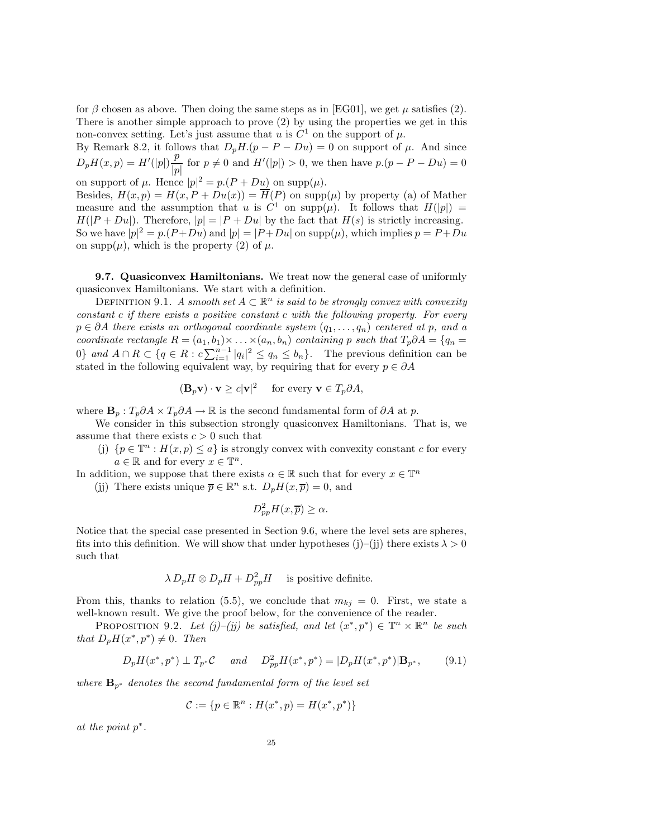for  $\beta$  chosen as above. Then doing the same steps as in [EG01], we get  $\mu$  satisfies (2). There is another simple approach to prove (2) by using the properties we get in this non-convex setting. Let's just assume that u is  $C^1$  on the support of  $\mu$ .

By Remark 8.2, it follows that  $D_pH(p - P - Du) = 0$  on support of  $\mu$ . And since  $D_pH(x,p) = H'(|p|)\frac{p}{|p|}$  for  $p \neq 0$  and  $H'(|p|) > 0$ , we then have  $p.(p - P - Du) = 0$ on support of  $\mu$ . Hence  $|p|^2 = p(P + D\underline{u})$  on supp $(\mu)$ .

Besides,  $H(x, p) = H(x, P + Du(x)) = \overline{H}(P)$  on supp $(\mu)$  by property (a) of Mather measure and the assumption that u is  $C^1$  on supp $(\mu)$ . It follows that  $H(|p|) =$  $H(|P + Du|)$ . Therefore,  $|p| = |P + Du|$  by the fact that  $H(s)$  is strictly increasing. So we have  $|p|^2 = p(P+Du)$  and  $|p| = |P+Du|$  on  $supp(\mu)$ , which implies  $p = P+Du$ on supp $(\mu)$ , which is the property (2) of  $\mu$ .

9.7. Quasiconvex Hamiltonians. We treat now the general case of uniformly quasiconvex Hamiltonians. We start with a definition.

DEFINITION 9.1. A smooth set  $A \subset \mathbb{R}^n$  is said to be strongly convex with convexity constant c if there exists a positive constant c with the following property. For every  $p \in \partial A$  there exists an orthogonal coordinate system  $(q_1, \ldots, q_n)$  centered at p, and a coordinate rectangle  $R = (a_1, b_1) \times ... \times (a_n, b_n)$  containing p such that  $T_p \partial A = \{q_n =$ 0} and  $A \cap R \subset \{q \in R : c \sum_{i=1}^{n-1} |q_i|^2 \leq q_n \leq b_n\}$ . The previous definition can be stated in the following equivalent way, by requiring that for every  $p \in \partial A$ 

$$
(\mathbf{B}_p \mathbf{v}) \cdot \mathbf{v} \ge c|\mathbf{v}|^2 \quad \text{ for every } \mathbf{v} \in T_p \partial A,
$$

where  $\mathbf{B}_p : T_p \partial A \times T_p \partial A \to \mathbb{R}$  is the second fundamental form of  $\partial A$  at p.

We consider in this subsection strongly quasiconvex Hamiltonians. That is, we assume that there exists  $c > 0$  such that

(j)  $\{p \in \mathbb{T}^n : H(x, p) \leq a\}$  is strongly convex with convexity constant c for every  $a \in \mathbb{R}$  and for every  $x \in \mathbb{T}^n$ .

In addition, we suppose that there exists  $\alpha \in \mathbb{R}$  such that for every  $x \in \mathbb{T}^n$ 

(jj) There exists unique  $\overline{p} \in \mathbb{R}^n$  s.t.  $D_p H(x, \overline{p}) = 0$ , and

$$
D_{pp}^2 H(x,\overline{p}) \ge \alpha.
$$

Notice that the special case presented in Section 9.6, where the level sets are spheres, fits into this definition. We will show that under hypotheses (j)–(j) there exists  $\lambda > 0$ such that

$$
\lambda D_p H \otimes D_p H + D_{pp}^2 H
$$
 is positive definite.

From this, thanks to relation (5.5), we conclude that  $m_{ki} = 0$ . First, we state a well-known result. We give the proof below, for the convenience of the reader.

PROPOSITION 9.2. Let  $(j)$ – $(j)$  be satisfied, and let  $(x^*, p^*) \in \mathbb{T}^n \times \mathbb{R}^n$  be such that  $D_pH(x^*, p^*) \neq 0$ . Then

$$
D_p H(x^*, p^*) \perp T_{p^*} C \quad and \quad D_{pp}^2 H(x^*, p^*) = |D_p H(x^*, p^*)| \mathbf{B}_{p^*}, \tag{9.1}
$$

where  $\mathbf{B}_{p^*}$  denotes the second fundamental form of the level set

$$
\mathcal{C}:=\{p\in\mathbb{R}^n:H(x^*,p)=H(x^*,p^*)\}
$$

at the point p∗.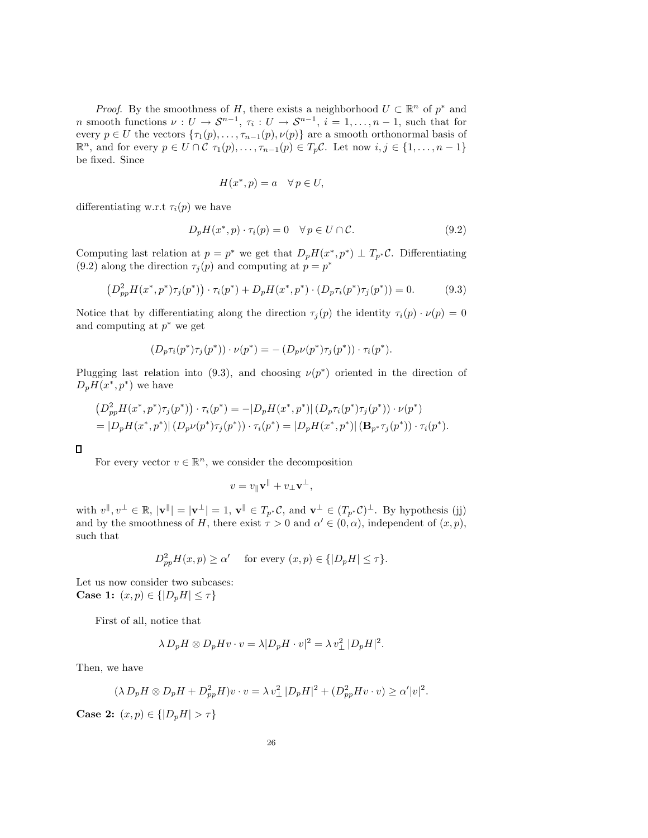*Proof.* By the smoothness of H, there exists a neighborhood  $U \subset \mathbb{R}^n$  of  $p^*$  and *n* smooth functions  $\nu: U \to S^{n-1}, \tau_i: U \to S^{n-1}, i = 1, ..., n-1$ , such that for every  $p \in U$  the vectors  $\{\tau_1(p), \ldots, \tau_{n-1}(p), \nu(p)\}\$  are a smooth orthonormal basis of  $\mathbb{R}^n$ , and for every  $p \in U \cap C$   $\tau_1(p), \ldots, \tau_{n-1}(p) \in T_p C$ . Let now  $i, j \in \{1, \ldots, n-1\}$ be fixed. Since

$$
H(x^*, p) = a \quad \forall \, p \in U,
$$

differentiating w.r.t  $\tau_i(p)$  we have

$$
D_p H(x^*, p) \cdot \tau_i(p) = 0 \quad \forall \, p \in U \cap \mathcal{C}.
$$

Computing last relation at  $p = p^*$  we get that  $D_pH(x^*, p^*) \perp T_{p^*}C$ . Differentiating (9.2) along the direction  $\tau_j(p)$  and computing at  $p = p^*$ 

$$
(D_{pp}^2 H(x^*, p^*) \tau_j(p^*)) \cdot \tau_i(p^*) + D_p H(x^*, p^*) \cdot (D_p \tau_i(p^*) \tau_j(p^*)) = 0.
$$
 (9.3)

Notice that by differentiating along the direction  $\tau_j(p)$  the identity  $\tau_i(p) \cdot \nu(p)=0$ and computing at  $p^*$  we get

$$
(D_p \tau_i(p^*) \tau_j(p^*)) \cdot \nu(p^*) = -(D_p \nu(p^*) \tau_j(p^*)) \cdot \tau_i(p^*).
$$

Plugging last relation into (9.3), and choosing  $\nu(p^*)$  oriented in the direction of  $D_pH(x^*,p^*)$  we have

$$
(D_{pp}^{2}H(x^{*},p^{*})\tau_{j}(p^{*})) \cdot \tau_{i}(p^{*}) = -|D_{p}H(x^{*},p^{*})| (D_{p}\tau_{i}(p^{*})\tau_{j}(p^{*})) \cdot \nu(p^{*})
$$
  
=  $|D_{p}H(x^{*},p^{*})| (D_{p}\nu(p^{*})\tau_{j}(p^{*})) \cdot \tau_{i}(p^{*}) = |D_{p}H(x^{*},p^{*})| (\mathbf{B}_{p^{*}}\tau_{j}(p^{*})) \cdot \tau_{i}(p^{*}).$ 

 $\Box$ 

For every vector  $v \in \mathbb{R}^n$ , we consider the decomposition

$$
v = v_{\parallel} \mathbf{v}^{\parallel} + v_{\perp} \mathbf{v}^{\perp},
$$

with  $v^{\parallel}, v^{\perp} \in \mathbb{R}$ ,  $|v^{\parallel}| = |v^{\perp}| = 1$ ,  $v^{\parallel} \in T_{p^*}C$ , and  $v^{\perp} \in (T_{p^*}C)^{\perp}$ . By hypothesis (jj) and by the smoothness of H, there exist  $\tau > 0$  and  $\alpha' \in (0, \alpha)$ , independent of  $(x, p)$ , such that

$$
D_{pp}^{2}H(x,p) \ge \alpha' \quad \text{ for every } (x,p) \in \{|D_{p}H| \le \tau\}.
$$

Let us now consider two subcases: **Case 1:**  $(x, p) \in \{ |D_pH| \leq \tau \}$ 

First of all, notice that

$$
\lambda D_p H \otimes D_p H v \cdot v = \lambda |D_p H \cdot v|^2 = \lambda v_\perp^2 |D_p H|^2.
$$

Then, we have

$$
(\lambda D_p H \otimes D_p H + D_{pp}^2 H)v \cdot v = \lambda v_\perp^2 |D_p H|^2 + (D_{pp}^2 H v \cdot v) \ge \alpha' |v|^2.
$$

**Case 2:**  $(x, p) \in \{|D_pH| > \tau\}$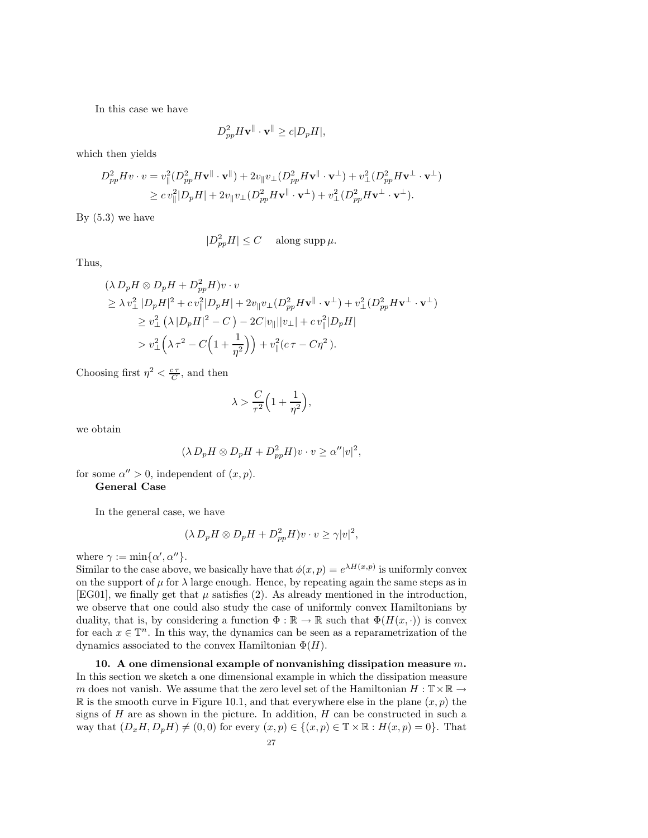In this case we have

$$
D_{pp}^2 H \mathbf{v}^{\parallel} \cdot \mathbf{v}^{\parallel} \ge c |D_p H|,
$$

which then yields

$$
D_{pp}^2 H v \cdot v = v_{\parallel}^2 (D_{pp}^2 H \mathbf{v}^{\parallel} \cdot \mathbf{v}^{\parallel}) + 2v_{\parallel} v_{\perp} (D_{pp}^2 H \mathbf{v}^{\parallel} \cdot \mathbf{v}^{\perp}) + v_{\perp}^2 (D_{pp}^2 H \mathbf{v}^{\perp} \cdot \mathbf{v}^{\perp})
$$
  
\n
$$
\geq c v_{\parallel}^2 |D_p H| + 2v_{\parallel} v_{\perp} (D_{pp}^2 H \mathbf{v}^{\parallel} \cdot \mathbf{v}^{\perp}) + v_{\perp}^2 (D_{pp}^2 H \mathbf{v}^{\perp} \cdot \mathbf{v}^{\perp}).
$$

By  $(5.3)$  we have

$$
|D_{pp}^2H| \le C \quad \text{ along } \sup \mu.
$$

Thus,

$$
(\lambda D_p H \otimes D_p H + D_{pp}^2 H)v \cdot v
$$
  
\n
$$
\geq \lambda v_\perp^2 |D_p H|^2 + c v_\parallel^2 |D_p H| + 2v_\parallel v_\perp (D_{pp}^2 H \mathbf{v}^\parallel \cdot \mathbf{v}^\perp) + v_\perp^2 (D_{pp}^2 H \mathbf{v}^\perp \cdot \mathbf{v}^\perp)
$$
  
\n
$$
\geq v_\perp^2 (\lambda |D_p H|^2 - C) - 2C|v_\parallel ||v_\perp| + c v_\parallel^2 |D_p H|
$$
  
\n
$$
> v_\perp^2 (\lambda \tau^2 - C\Big(1 + \frac{1}{\eta^2}\Big)\Big) + v_\parallel^2 (c\tau - C\eta^2).
$$

Choosing first  $\eta^2 < \frac{c\tau}{C}$ , and then

$$
\lambda > \frac{C}{\tau^2} \Big( 1 + \frac{1}{\eta^2} \Big),
$$

we obtain

$$
(\lambda D_p H \otimes D_p H + D_{pp}^2 H)v \cdot v \ge \alpha'' |v|^2,
$$

for some  $\alpha'' > 0$ , independent of  $(x, p)$ . General Case

In the general case, we have

$$
(\lambda D_p H \otimes D_p H + D_{pp}^2 H)v \cdot v \ge \gamma |v|^2,
$$

where  $\gamma := \min{\{\alpha', \alpha''\}}$ .

Similar to the case above, we basically have that  $\phi(x, p) = e^{\lambda H(x, p)}$  is uniformly convex on the support of  $\mu$  for  $\lambda$  large enough. Hence, by repeating again the same steps as in [EG01], we finally get that  $\mu$  satisfies (2). As already mentioned in the introduction, we observe that one could also study the case of uniformly convex Hamiltonians by duality, that is, by considering a function  $\Phi : \mathbb{R} \to \mathbb{R}$  such that  $\Phi(H(x, \cdot))$  is convex for each  $x \in \mathbb{T}^n$ . In this way, the dynamics can be seen as a reparametrization of the dynamics associated to the convex Hamiltonian  $\Phi(H)$ .

10. A one dimensional example of nonvanishing dissipation measure  $m$ . In this section we sketch a one dimensional example in which the dissipation measure m does not vanish. We assume that the zero level set of the Hamiltonian  $H: \mathbb{T} \times \mathbb{R} \to$ R is the smooth curve in Figure 10.1, and that everywhere else in the plane  $(x, p)$  the signs of  $H$  are as shown in the picture. In addition,  $H$  can be constructed in such a way that  $(D_xH, D_pH) \neq (0, 0)$  for every  $(x, p) \in \{(x, p) \in \mathbb{T} \times \mathbb{R} : H(x, p) = 0\}$ . That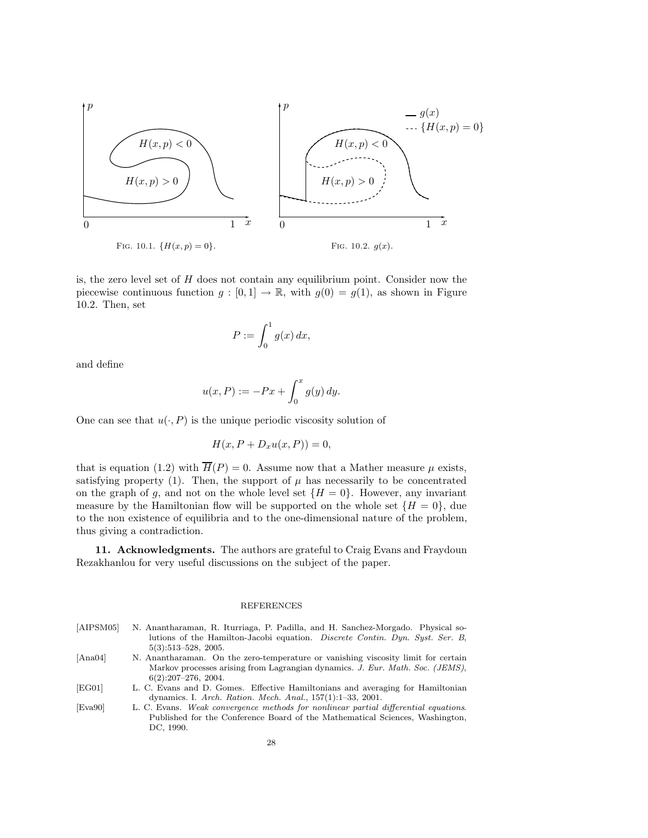

is, the zero level set of  $H$  does not contain any equilibrium point. Consider now the piecewise continuous function  $g : [0,1] \to \mathbb{R}$ , with  $g(0) = g(1)$ , as shown in Figure 10.2. Then, set

$$
P := \int_0^1 g(x) \, dx,
$$

and define

$$
u(x,P) := -Px + \int_0^x g(y) \, dy.
$$

One can see that  $u(\cdot, P)$  is the unique periodic viscosity solution of

$$
H(x, P + D_x u(x, P)) = 0,
$$

that is equation (1.2) with  $\overline{H}(P) = 0$ . Assume now that a Mather measure  $\mu$  exists, satisfying property (1). Then, the support of  $\mu$  has necessarily to be concentrated on the graph of g, and not on the whole level set  $\{H = 0\}$ . However, any invariant measure by the Hamiltonian flow will be supported on the whole set  $\{H = 0\}$ , due to the non existence of equilibria and to the one-dimensional nature of the problem, thus giving a contradiction.

11. Acknowledgments. The authors are grateful to Craig Evans and Fraydoun Rezakhanlou for very useful discussions on the subject of the paper.

## REFERENCES

| N. Anantharaman, R. Iturriaga, P. Padilla, and H. Sanchez-Morgado. Physical so-     |
|-------------------------------------------------------------------------------------|
| lutions of the Hamilton-Jacobi equation. <i>Discrete Contin. Dyn. Syst. Ser. B.</i> |
| $5(3):513-528$ , 2005.                                                              |
| N. Anantharaman. On the zero-temperature or vanishing viscosity limit for certain   |
| Markov processes arising from Lagrangian dynamics. J. Eur. Math. Soc. (JEMS),       |
| $6(2):207-276$ , 2004.                                                              |
| L. C. Evans and D. Gomes. Effective Hamiltonians and averaging for Hamiltonian      |
| dynamics. I. Arch. Ration. Mech. Anal., $157(1):1-33$ , 2001.                       |
| L. C. Evans. Weak convergence methods for nonlinear partial differential equations. |
|                                                                                     |